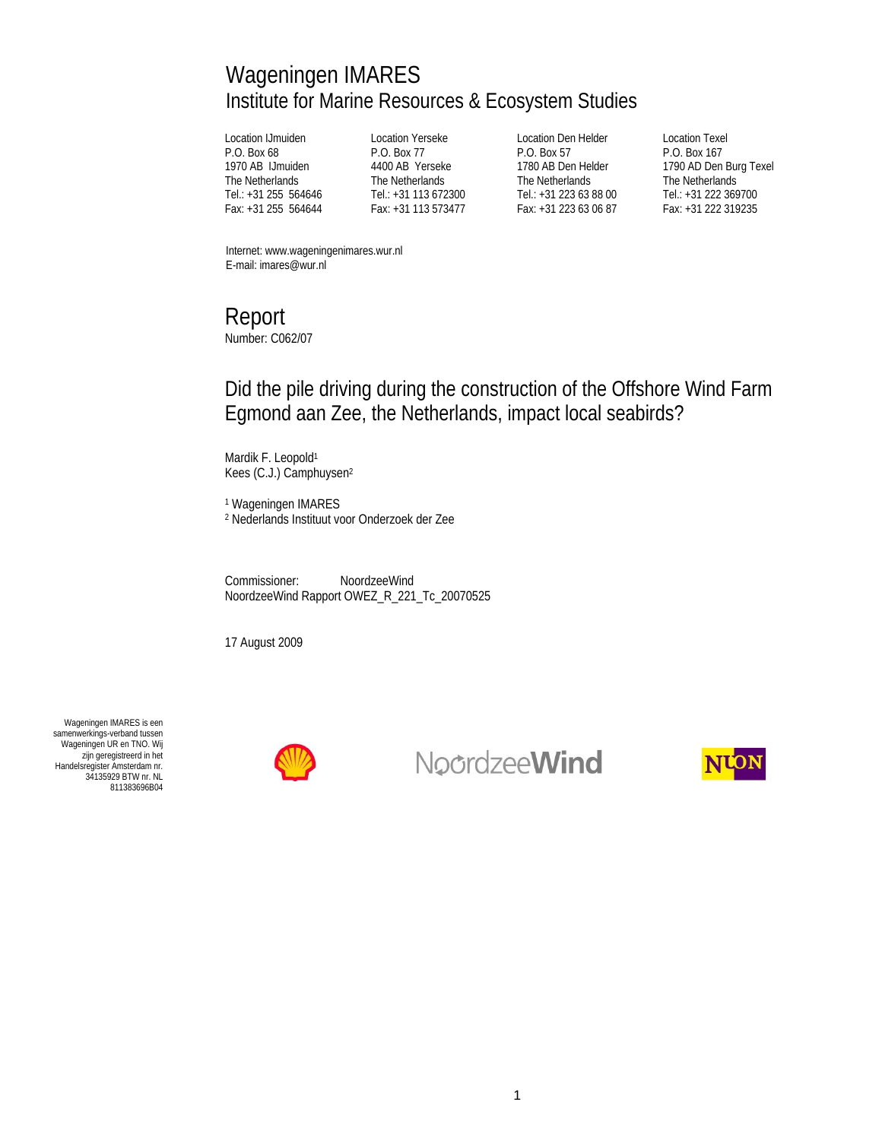# Wageningen IMARES Institute for Marine Resources & Ecosystem Studies

Location IJmuiden P.O. Box 68 1970 AB IJmuiden The Netherlands Tel.: +31 255 564646 Fax: +31 255 564644

Location Yerseke P.O. Box 77 4400 AB Yerseke The Netherlands Tel.: +31 113 672300 Fax: +31 113 573477

Location Den Helder P.O. Box 57 1780 AB Den Helder The Netherlands Tel.: +31 223 63 88 00 Fax: +31 223 63 06 87

Location Texel P.O. Box 167 1790 AD Den Burg Texel The Netherlands Tel.: +31 222 369700 Fax: +31 222 319235

Internet: www.wageningenimares.wur.nl E-mail: imares@wur.nl

# Report

Number: C062/07

## Did the pile driving during the construction of the Offshore Wind Farm Egmond aan Zee, the Netherlands, impact local seabirds?

Mardik F. Leopold<sup>1</sup> Kees (C.J.) Camphuysen2

1 Wageningen IMARES 2 Nederlands Instituut voor Onderzoek der Zee

Commissioner: NoordzeeWind NoordzeeWind Rapport OWEZ\_R\_221\_Tc\_20070525

17 August 2009

Wageningen IMARES is een samenwerkings-verband tussen Wageningen UR en TNO. Wij zijn geregistreerd in het Handelsregister Amsterdam nr. 34135929 BTW nr. NL 811383696B04



NoordzeeWind

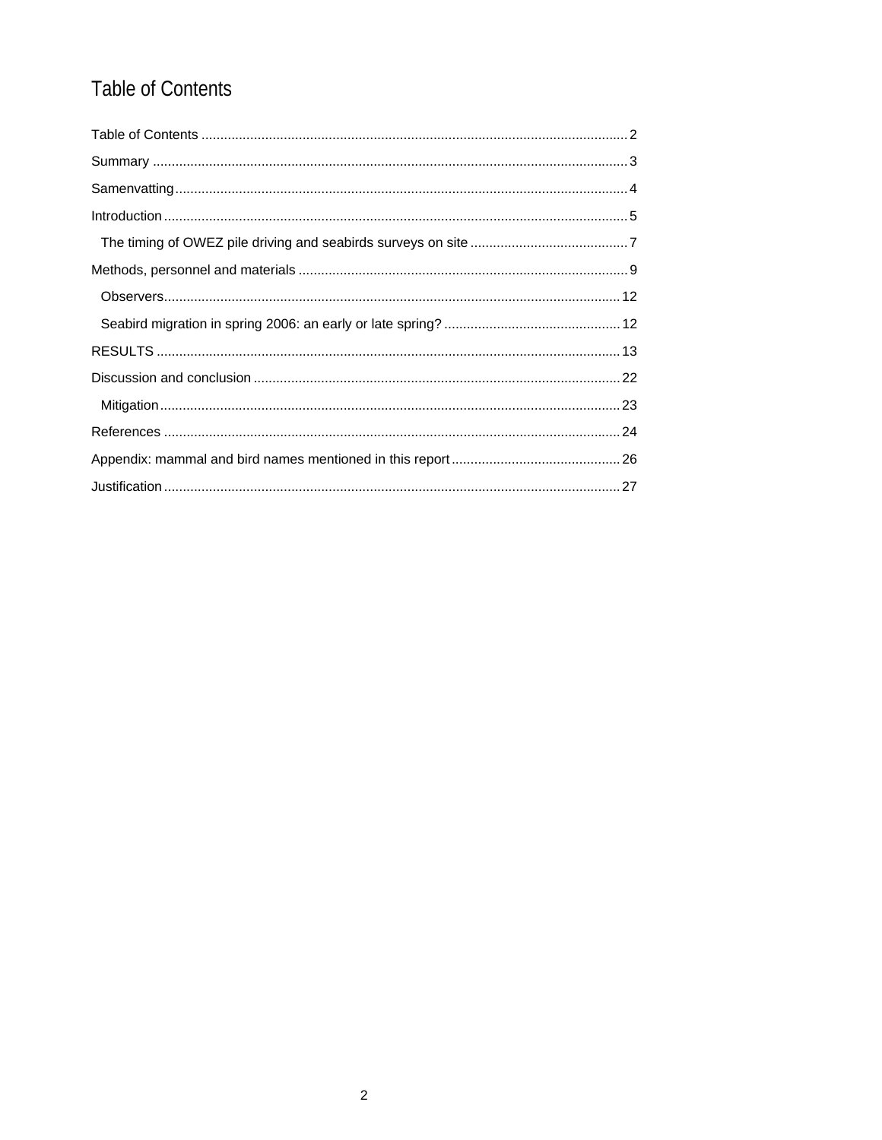# Table of Contents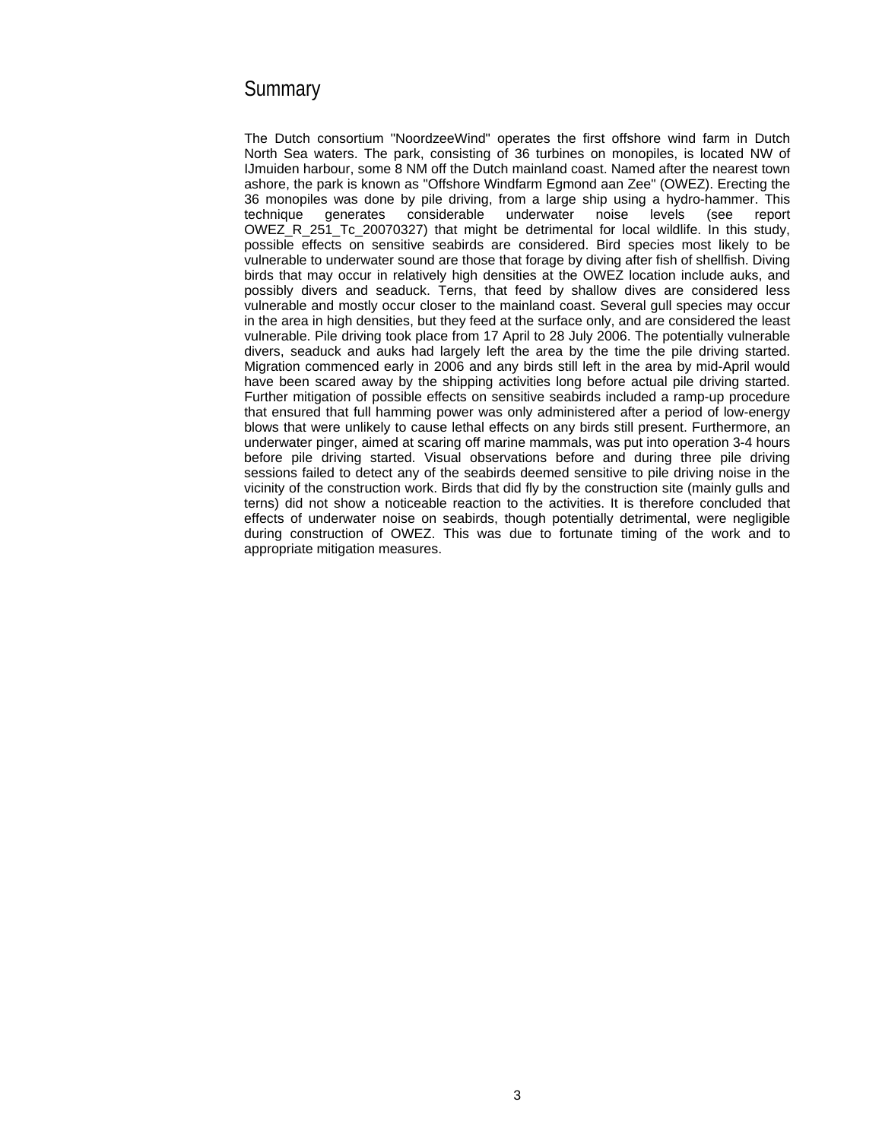### **Summary**

The Dutch consortium "NoordzeeWind" operates the first offshore wind farm in Dutch North Sea waters. The park, consisting of 36 turbines on monopiles, is located NW of IJmuiden harbour, some 8 NM off the Dutch mainland coast. Named after the nearest town ashore, the park is known as "Offshore Windfarm Egmond aan Zee" (OWEZ). Erecting the 36 monopiles was done by pile driving, from a large ship using a hydro-hammer. This technique generates considerable underwater noise levels (see report OWEZ\_R\_251\_Tc\_20070327) that might be detrimental for local wildlife. In this study, possible effects on sensitive seabirds are considered. Bird species most likely to be vulnerable to underwater sound are those that forage by diving after fish of shellfish. Diving birds that may occur in relatively high densities at the OWEZ location include auks, and possibly divers and seaduck. Terns, that feed by shallow dives are considered less vulnerable and mostly occur closer to the mainland coast. Several gull species may occur in the area in high densities, but they feed at the surface only, and are considered the least vulnerable. Pile driving took place from 17 April to 28 July 2006. The potentially vulnerable divers, seaduck and auks had largely left the area by the time the pile driving started. Migration commenced early in 2006 and any birds still left in the area by mid-April would have been scared away by the shipping activities long before actual pile driving started. Further mitigation of possible effects on sensitive seabirds included a ramp-up procedure that ensured that full hamming power was only administered after a period of low-energy blows that were unlikely to cause lethal effects on any birds still present. Furthermore, an underwater pinger, aimed at scaring off marine mammals, was put into operation 3-4 hours before pile driving started. Visual observations before and during three pile driving sessions failed to detect any of the seabirds deemed sensitive to pile driving noise in the vicinity of the construction work. Birds that did fly by the construction site (mainly gulls and terns) did not show a noticeable reaction to the activities. It is therefore concluded that effects of underwater noise on seabirds, though potentially detrimental, were negligible during construction of OWEZ. This was due to fortunate timing of the work and to appropriate mitigation measures.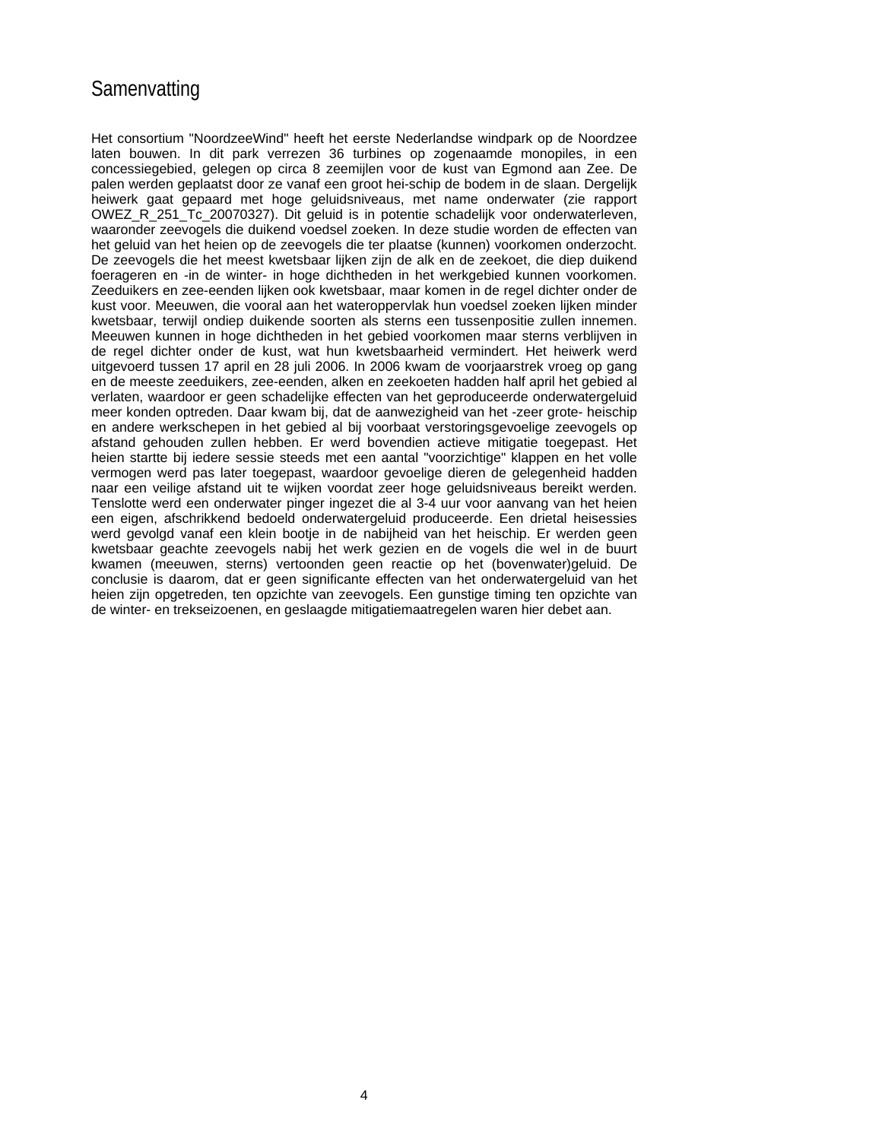### **Samenvatting**

Het consortium "NoordzeeWind" heeft het eerste Nederlandse windpark op de Noordzee laten bouwen. In dit park verrezen 36 turbines op zogenaamde monopiles, in een concessiegebied, gelegen op circa 8 zeemijlen voor de kust van Egmond aan Zee. De palen werden geplaatst door ze vanaf een groot hei-schip de bodem in de slaan. Dergelijk heiwerk gaat gepaard met hoge geluidsniveaus, met name onderwater (zie rapport OWEZ\_R\_251\_Tc\_20070327). Dit geluid is in potentie schadelijk voor onderwaterleven, waaronder zeevogels die duikend voedsel zoeken. In deze studie worden de effecten van het geluid van het heien op de zeevogels die ter plaatse (kunnen) voorkomen onderzocht. De zeevogels die het meest kwetsbaar lijken zijn de alk en de zeekoet, die diep duikend foerageren en -in de winter- in hoge dichtheden in het werkgebied kunnen voorkomen. Zeeduikers en zee-eenden lijken ook kwetsbaar, maar komen in de regel dichter onder de kust voor. Meeuwen, die vooral aan het wateroppervlak hun voedsel zoeken lijken minder kwetsbaar, terwijl ondiep duikende soorten als sterns een tussenpositie zullen innemen. Meeuwen kunnen in hoge dichtheden in het gebied voorkomen maar sterns verblijven in de regel dichter onder de kust, wat hun kwetsbaarheid vermindert. Het heiwerk werd uitgevoerd tussen 17 april en 28 juli 2006. In 2006 kwam de voorjaarstrek vroeg op gang en de meeste zeeduikers, zee-eenden, alken en zeekoeten hadden half april het gebied al verlaten, waardoor er geen schadelijke effecten van het geproduceerde onderwatergeluid meer konden optreden. Daar kwam bij, dat de aanwezigheid van het -zeer grote- heischip en andere werkschepen in het gebied al bij voorbaat verstoringsgevoelige zeevogels op afstand gehouden zullen hebben. Er werd bovendien actieve mitigatie toegepast. Het heien startte bij iedere sessie steeds met een aantal "voorzichtige" klappen en het volle vermogen werd pas later toegepast, waardoor gevoelige dieren de gelegenheid hadden naar een veilige afstand uit te wijken voordat zeer hoge geluidsniveaus bereikt werden. Tenslotte werd een onderwater pinger ingezet die al 3-4 uur voor aanvang van het heien een eigen, afschrikkend bedoeld onderwatergeluid produceerde. Een drietal heisessies werd gevolgd vanaf een klein bootje in de nabijheid van het heischip. Er werden geen kwetsbaar geachte zeevogels nabij het werk gezien en de vogels die wel in de buurt kwamen (meeuwen, sterns) vertoonden geen reactie op het (bovenwater)geluid. De conclusie is daarom, dat er geen significante effecten van het onderwatergeluid van het heien zijn opgetreden, ten opzichte van zeevogels. Een gunstige timing ten opzichte van de winter- en trekseizoenen, en geslaagde mitigatiemaatregelen waren hier debet aan.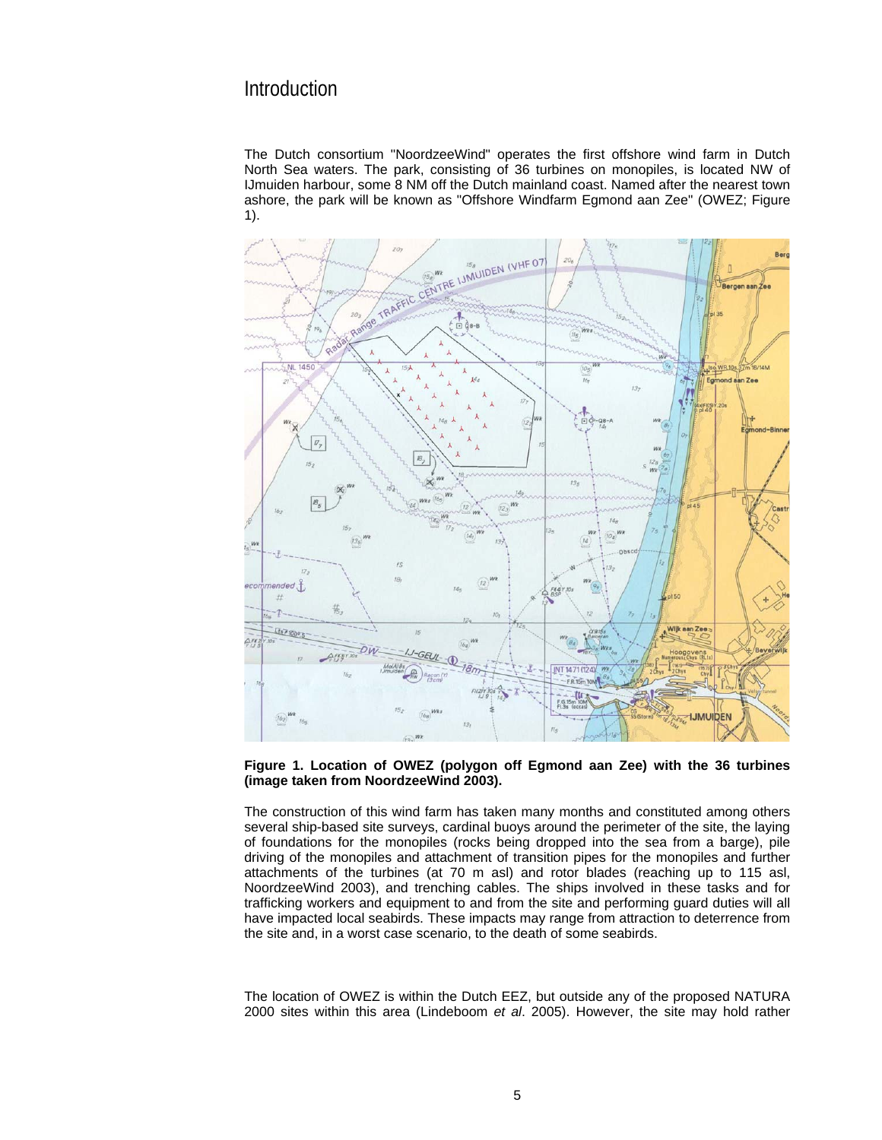### Introduction

The Dutch consortium "NoordzeeWind" operates the first offshore wind farm in Dutch North Sea waters. The park, consisting of 36 turbines on monopiles, is located NW of IJmuiden harbour, some 8 NM off the Dutch mainland coast. Named after the nearest town ashore, the park will be known as "Offshore Windfarm Egmond aan Zee" (OWEZ; Figure 1).



#### **Figure 1. Location of OWEZ (polygon off Egmond aan Zee) with the 36 turbines (image taken from NoordzeeWind 2003).**

The construction of this wind farm has taken many months and constituted among others several ship-based site surveys, cardinal buoys around the perimeter of the site, the laying of foundations for the monopiles (rocks being dropped into the sea from a barge), pile driving of the monopiles and attachment of transition pipes for the monopiles and further attachments of the turbines (at 70 m asl) and rotor blades (reaching up to 115 asl, NoordzeeWind 2003), and trenching cables. The ships involved in these tasks and for trafficking workers and equipment to and from the site and performing guard duties will all have impacted local seabirds. These impacts may range from attraction to deterrence from the site and, in a worst case scenario, to the death of some seabirds.

The location of OWEZ is within the Dutch EEZ, but outside any of the proposed NATURA 2000 sites within this area (Lindeboom *et al*. 2005). However, the site may hold rather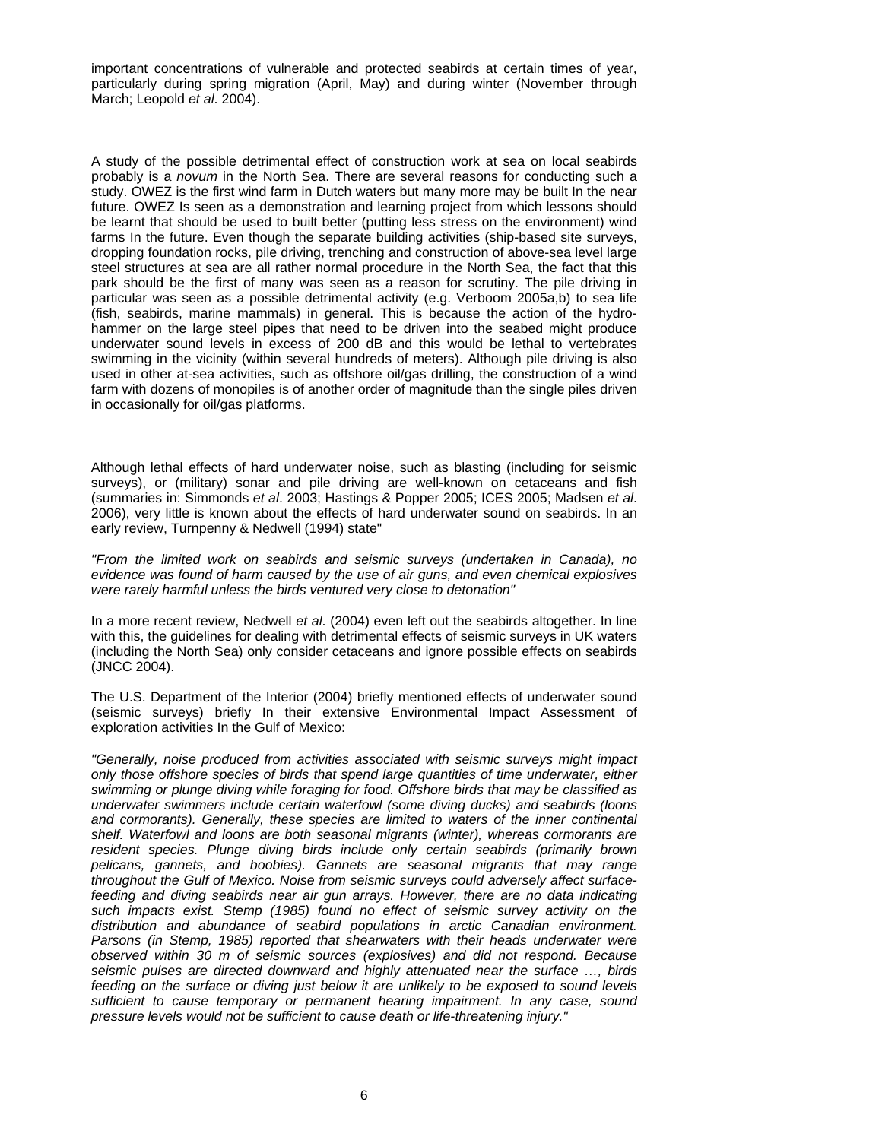important concentrations of vulnerable and protected seabirds at certain times of year, particularly during spring migration (April, May) and during winter (November through March; Leopold *et al*. 2004).

A study of the possible detrimental effect of construction work at sea on local seabirds probably is a *novum* in the North Sea. There are several reasons for conducting such a study. OWEZ is the first wind farm in Dutch waters but many more may be built In the near future. OWEZ Is seen as a demonstration and learning project from which lessons should be learnt that should be used to built better (putting less stress on the environment) wind farms In the future. Even though the separate building activities (ship-based site surveys, dropping foundation rocks, pile driving, trenching and construction of above-sea level large steel structures at sea are all rather normal procedure in the North Sea, the fact that this park should be the first of many was seen as a reason for scrutiny. The pile driving in particular was seen as a possible detrimental activity (e.g. Verboom 2005a,b) to sea life (fish, seabirds, marine mammals) in general. This is because the action of the hydrohammer on the large steel pipes that need to be driven into the seabed might produce underwater sound levels in excess of 200 dB and this would be lethal to vertebrates swimming in the vicinity (within several hundreds of meters). Although pile driving is also used in other at-sea activities, such as offshore oil/gas drilling, the construction of a wind farm with dozens of monopiles is of another order of magnitude than the single piles driven in occasionally for oil/gas platforms.

Although lethal effects of hard underwater noise, such as blasting (including for seismic surveys), or (military) sonar and pile driving are well-known on cetaceans and fish (summaries in: Simmonds *et al*. 2003; Hastings & Popper 2005; ICES 2005; Madsen *et al*. 2006), very little is known about the effects of hard underwater sound on seabirds. In an early review, Turnpenny & Nedwell (1994) state"

*"From the limited work on seabirds and seismic surveys (undertaken in Canada), no evidence was found of harm caused by the use of air guns, and even chemical explosives were rarely harmful unless the birds ventured very close to detonation"* 

In a more recent review, Nedwell *et al*. (2004) even left out the seabirds altogether. In line with this, the guidelines for dealing with detrimental effects of seismic surveys in UK waters (including the North Sea) only consider cetaceans and ignore possible effects on seabirds (JNCC 2004).

The U.S. Department of the Interior (2004) briefly mentioned effects of underwater sound (seismic surveys) briefly In their extensive Environmental Impact Assessment of exploration activities In the Gulf of Mexico:

*"Generally, noise produced from activities associated with seismic surveys might impact only those offshore species of birds that spend large quantities of time underwater, either swimming or plunge diving while foraging for food. Offshore birds that may be classified as underwater swimmers include certain waterfowl (some diving ducks) and seabirds (loons and cormorants). Generally, these species are limited to waters of the inner continental shelf. Waterfowl and loons are both seasonal migrants (winter), whereas cormorants are resident species. Plunge diving birds include only certain seabirds (primarily brown pelicans, gannets, and boobies). Gannets are seasonal migrants that may range throughout the Gulf of Mexico. Noise from seismic surveys could adversely affect surfacefeeding and diving seabirds near air gun arrays. However, there are no data indicating such impacts exist. Stemp (1985) found no effect of seismic survey activity on the distribution and abundance of seabird populations in arctic Canadian environment. Parsons (in Stemp, 1985) reported that shearwaters with their heads underwater were observed within 30 m of seismic sources (explosives) and did not respond. Because seismic pulses are directed downward and highly attenuated near the surface …, birds feeding on the surface or diving just below it are unlikely to be exposed to sound levels sufficient to cause temporary or permanent hearing impairment. In any case, sound pressure levels would not be sufficient to cause death or life-threatening injury."*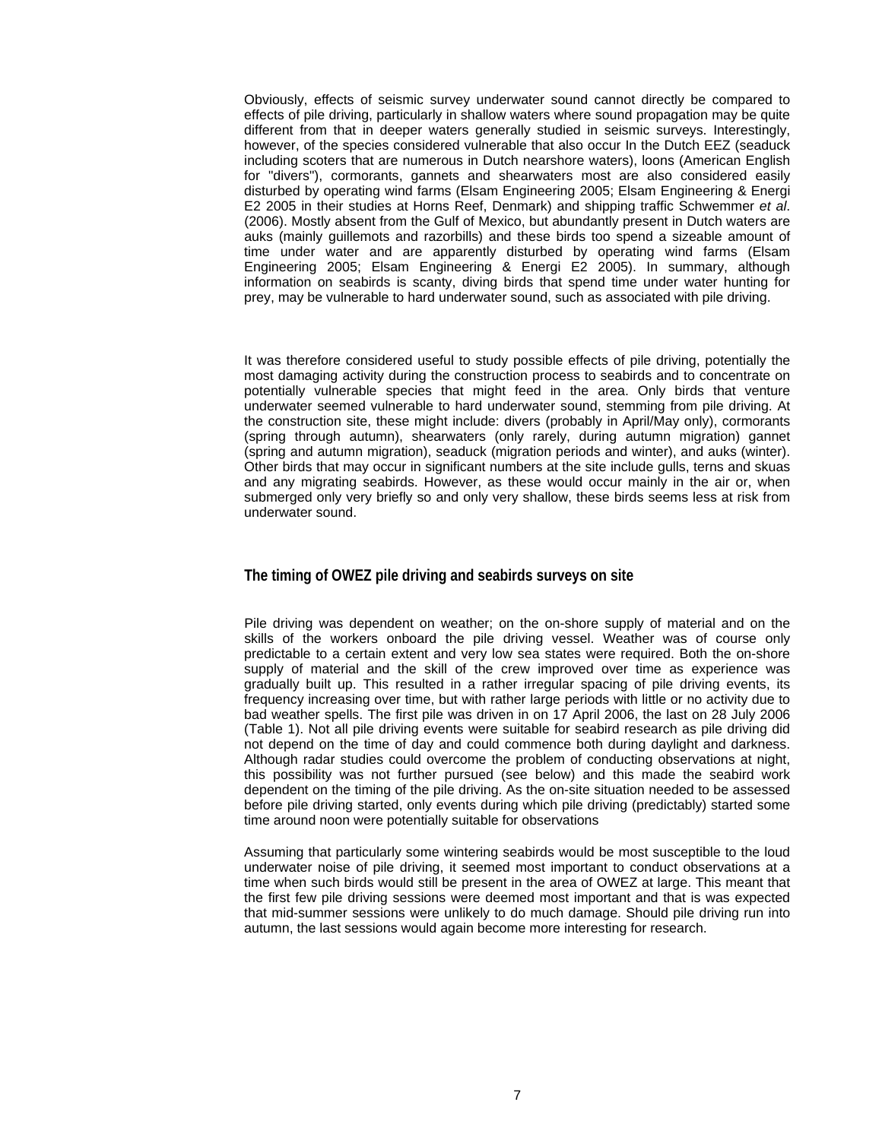Obviously, effects of seismic survey underwater sound cannot directly be compared to effects of pile driving, particularly in shallow waters where sound propagation may be quite different from that in deeper waters generally studied in seismic surveys. Interestingly, however, of the species considered vulnerable that also occur In the Dutch EEZ (seaduck including scoters that are numerous in Dutch nearshore waters), loons (American English for "divers"), cormorants, gannets and shearwaters most are also considered easily disturbed by operating wind farms (Elsam Engineering 2005; Elsam Engineering & Energi E2 2005 in their studies at Horns Reef, Denmark) and shipping traffic Schwemmer *et al*. (2006). Mostly absent from the Gulf of Mexico, but abundantly present in Dutch waters are auks (mainly guillemots and razorbills) and these birds too spend a sizeable amount of time under water and are apparently disturbed by operating wind farms (Elsam Engineering 2005; Elsam Engineering & Energi E2 2005). In summary, although information on seabirds is scanty, diving birds that spend time under water hunting for prey, may be vulnerable to hard underwater sound, such as associated with pile driving.

It was therefore considered useful to study possible effects of pile driving, potentially the most damaging activity during the construction process to seabirds and to concentrate on potentially vulnerable species that might feed in the area. Only birds that venture underwater seemed vulnerable to hard underwater sound, stemming from pile driving. At the construction site, these might include: divers (probably in April/May only), cormorants (spring through autumn), shearwaters (only rarely, during autumn migration) gannet (spring and autumn migration), seaduck (migration periods and winter), and auks (winter). Other birds that may occur in significant numbers at the site include gulls, terns and skuas and any migrating seabirds. However, as these would occur mainly in the air or, when submerged only very briefly so and only very shallow, these birds seems less at risk from underwater sound.

#### **The timing of OWEZ pile driving and seabirds surveys on site**

Pile driving was dependent on weather; on the on-shore supply of material and on the skills of the workers onboard the pile driving vessel. Weather was of course only predictable to a certain extent and very low sea states were required. Both the on-shore supply of material and the skill of the crew improved over time as experience was gradually built up. This resulted in a rather irregular spacing of pile driving events, its frequency increasing over time, but with rather large periods with little or no activity due to bad weather spells. The first pile was driven in on 17 April 2006, the last on 28 July 2006 (Table 1). Not all pile driving events were suitable for seabird research as pile driving did not depend on the time of day and could commence both during daylight and darkness. Although radar studies could overcome the problem of conducting observations at night, this possibility was not further pursued (see below) and this made the seabird work dependent on the timing of the pile driving. As the on-site situation needed to be assessed before pile driving started, only events during which pile driving (predictably) started some time around noon were potentially suitable for observations

Assuming that particularly some wintering seabirds would be most susceptible to the loud underwater noise of pile driving, it seemed most important to conduct observations at a time when such birds would still be present in the area of OWEZ at large. This meant that the first few pile driving sessions were deemed most important and that is was expected that mid-summer sessions were unlikely to do much damage. Should pile driving run into autumn, the last sessions would again become more interesting for research.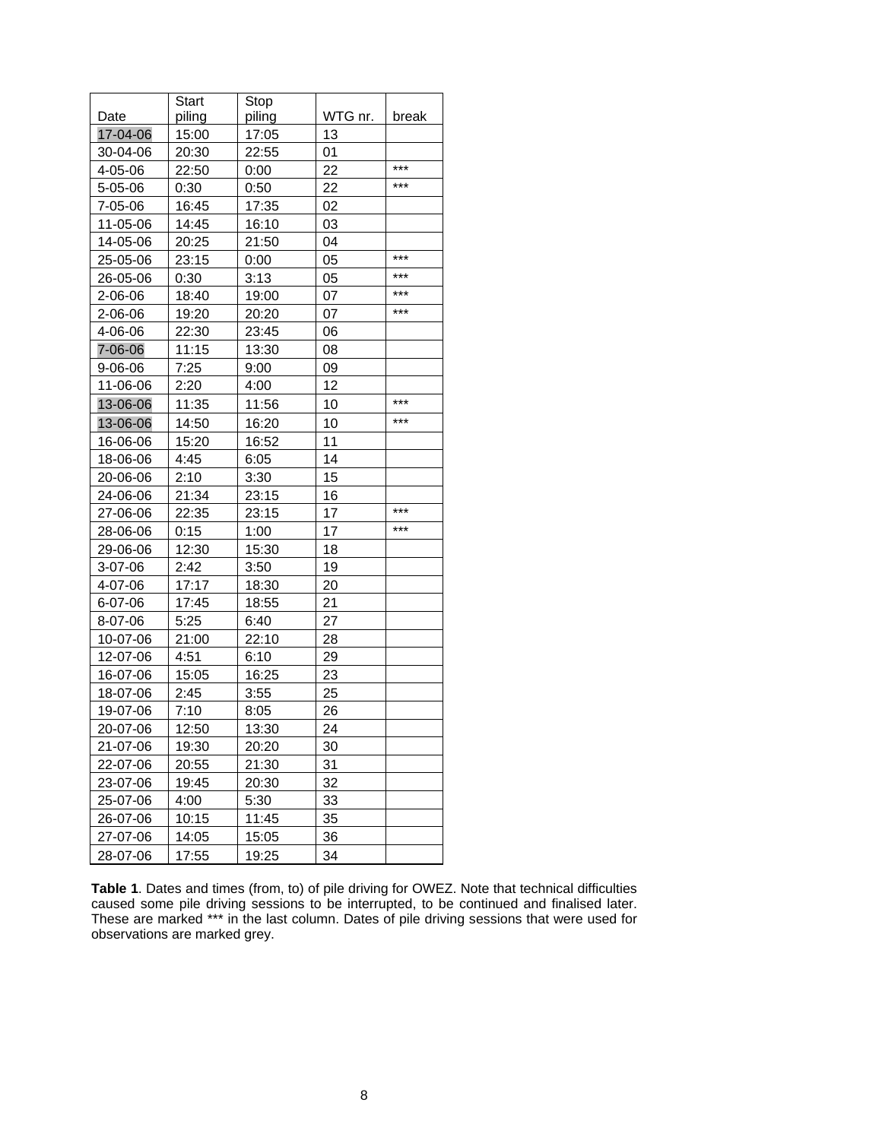|               | <b>Start</b> | Stop   |         |       |
|---------------|--------------|--------|---------|-------|
| Date          | piling       | piling | WTG nr. | break |
| 17-04-06      | 15:00        | 17:05  | 13      |       |
| 30-04-06      | 20:30        | 22:55  | 01      |       |
| 4-05-06       | 22:50        | 0:00   | 22      | ***   |
| $5 - 05 - 06$ | 0:30         | 0:50   | 22      | ***   |
| 7-05-06       | 16:45        | 17:35  | 02      |       |
| 11-05-06      | 14:45        | 16:10  | 03      |       |
| 14-05-06      | 20:25        | 21:50  | 04      |       |
| 25-05-06      | 23:15        | 0:00   | 05      | $***$ |
| 26-05-06      | 0:30         | 3:13   | 05      | ***   |
| $2 - 06 - 06$ | 18:40        | 19:00  | 07      | ***   |
| 2-06-06       | 19:20        | 20:20  | 07      | ***   |
| 4-06-06       | 22:30        | 23:45  | 06      |       |
| 7-06-06       | 11:15        | 13:30  | 08      |       |
| $9 - 06 - 06$ | 7:25         | 9:00   | 09      |       |
| 11-06-06      | 2:20         | 4:00   | 12      |       |
| 13-06-06      | 11:35        | 11:56  | 10      | ***   |
| 13-06-06      | 14:50        | 16:20  | 10      | ***   |
| 16-06-06      | 15:20        | 16:52  | 11      |       |
| 18-06-06      | 4:45         | 6:05   | 14      |       |
| 20-06-06      | 2:10         | 3:30   | 15      |       |
| 24-06-06      | 21:34        | 23:15  | 16      |       |
| 27-06-06      | 22:35        | 23:15  | 17      | ***   |
| 28-06-06      | 0:15         | 1:00   | 17      | ***   |
| 29-06-06      | 12:30        | 15:30  | 18      |       |
| $3-07-06$     | 2:42         | 3:50   | 19      |       |
| 4-07-06       | 17:17        | 18:30  | 20      |       |
| 6-07-06       | 17:45        | 18:55  | 21      |       |
| 8-07-06       | 5:25         | 6:40   | 27      |       |
| 10-07-06      | 21:00        | 22:10  | 28      |       |
| 12-07-06      | 4:51         | 6:10   | 29      |       |
| 16-07-06      | 15:05        | 16:25  | 23      |       |
| 18-07-06      | 2:45         | 3:55   | 25      |       |
| 19-07-06      | 7:10         | 8:05   | 26      |       |
| 20-07-06      | 12:50        | 13:30  | 24      |       |
| 21-07-06      | 19:30        | 20:20  | 30      |       |
| 22-07-06      | 20:55        | 21:30  | 31      |       |
| 23-07-06      | 19:45        | 20:30  | 32      |       |
| 25-07-06      | 4:00         | 5:30   | 33      |       |
| 26-07-06      | 10:15        | 11:45  | 35      |       |
| 27-07-06      | 14:05        | 15:05  | 36      |       |
| 28-07-06      | 17:55        | 19:25  | 34      |       |

**Table 1**. Dates and times (from, to) of pile driving for OWEZ. Note that technical difficulties caused some pile driving sessions to be interrupted, to be continued and finalised later. These are marked \*\*\* in the last column. Dates of pile driving sessions that were used for observations are marked grey.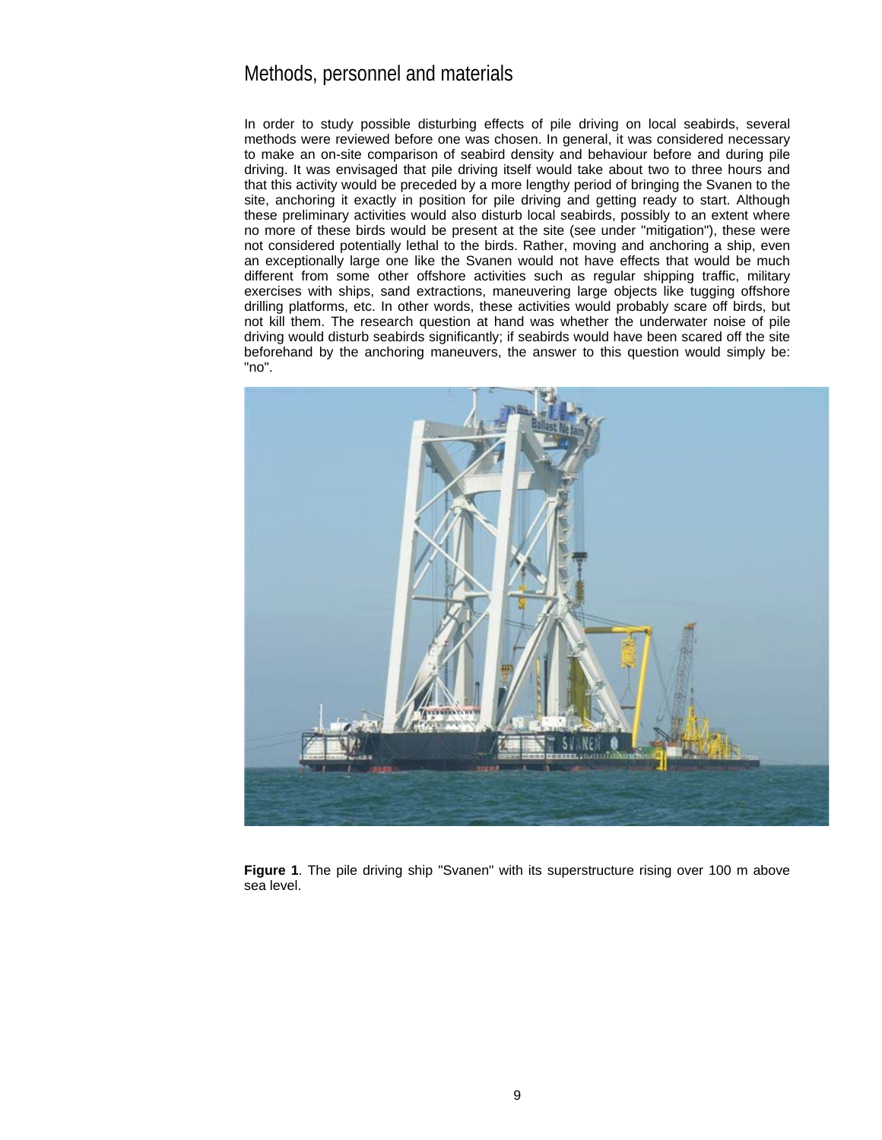### Methods, personnel and materials

In order to study possible disturbing effects of pile driving on local seabirds, several methods were reviewed before one was chosen. In general, it was considered necessary to make an on-site comparison of seabird density and behaviour before and during pile driving. It was envisaged that pile driving itself would take about two to three hours and that this activity would be preceded by a more lengthy period of bringing the Svanen to the site, anchoring it exactly in position for pile driving and getting ready to start. Although these preliminary activities would also disturb local seabirds, possibly to an extent where no more of these birds would be present at the site (see under "mitigation"), these were not considered potentially lethal to the birds. Rather, moving and anchoring a ship, even an exceptionally large one like the Svanen would not have effects that would be much different from some other offshore activities such as regular shipping traffic, military exercises with ships, sand extractions, maneuvering large objects like tugging offshore drilling platforms, etc. In other words, these activities would probably scare off birds, but not kill them. The research question at hand was whether the underwater noise of pile driving would disturb seabirds significantly; if seabirds would have been scared off the site beforehand by the anchoring maneuvers, the answer to this question would simply be: "no".



**Figure 1**. The pile driving ship "Svanen" with its superstructure rising over 100 m above sea level.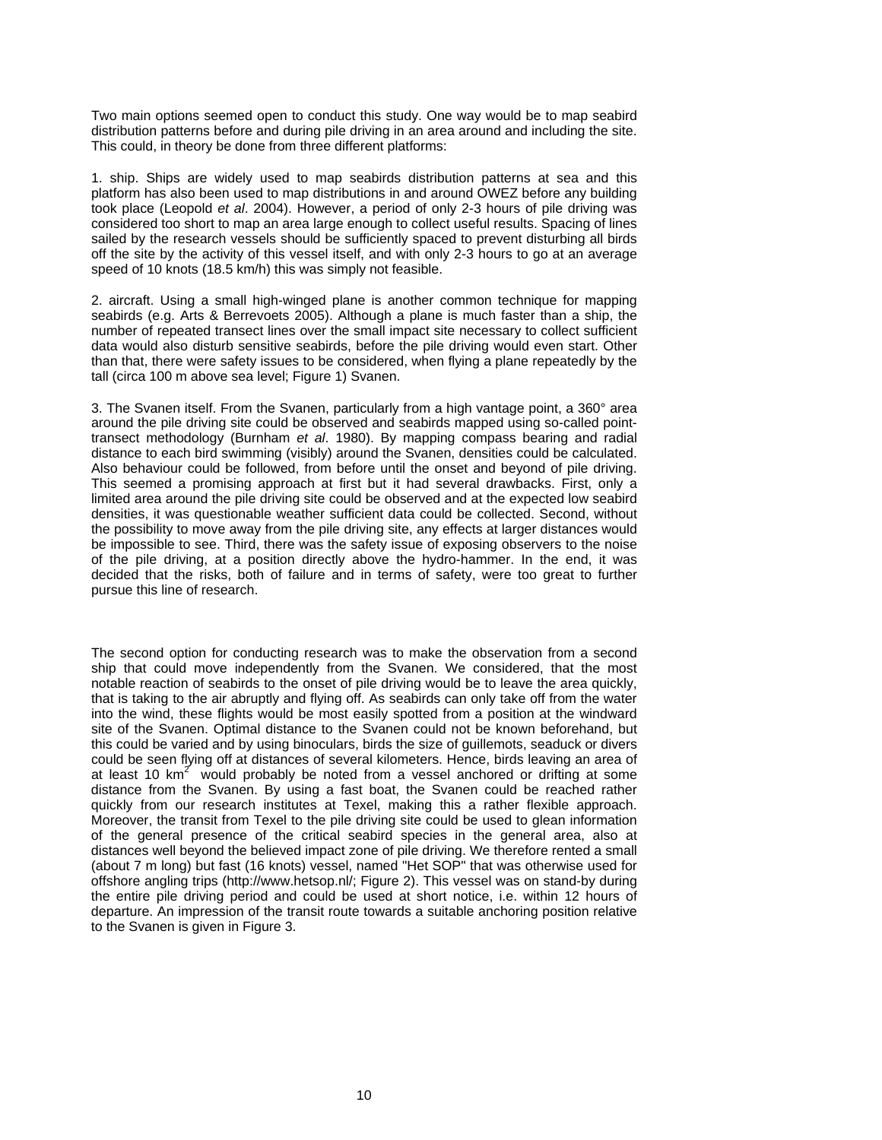Two main options seemed open to conduct this study. One way would be to map seabird distribution patterns before and during pile driving in an area around and including the site. This could, in theory be done from three different platforms:

1. ship. Ships are widely used to map seabirds distribution patterns at sea and this platform has also been used to map distributions in and around OWEZ before any building took place (Leopold *et al*. 2004). However, a period of only 2-3 hours of pile driving was considered too short to map an area large enough to collect useful results. Spacing of lines sailed by the research vessels should be sufficiently spaced to prevent disturbing all birds off the site by the activity of this vessel itself, and with only 2-3 hours to go at an average speed of 10 knots (18.5 km/h) this was simply not feasible.

2. aircraft. Using a small high-winged plane is another common technique for mapping seabirds (e.g. Arts & Berrevoets 2005). Although a plane is much faster than a ship, the number of repeated transect lines over the small impact site necessary to collect sufficient data would also disturb sensitive seabirds, before the pile driving would even start. Other than that, there were safety issues to be considered, when flying a plane repeatedly by the tall (circa 100 m above sea level; Figure 1) Svanen.

3. The Svanen itself. From the Svanen, particularly from a high vantage point, a 360° area around the pile driving site could be observed and seabirds mapped using so-called pointtransect methodology (Burnham *et al*. 1980). By mapping compass bearing and radial distance to each bird swimming (visibly) around the Svanen, densities could be calculated. Also behaviour could be followed, from before until the onset and beyond of pile driving. This seemed a promising approach at first but it had several drawbacks. First, only a limited area around the pile driving site could be observed and at the expected low seabird densities, it was questionable weather sufficient data could be collected. Second, without the possibility to move away from the pile driving site, any effects at larger distances would be impossible to see. Third, there was the safety issue of exposing observers to the noise of the pile driving, at a position directly above the hydro-hammer. In the end, it was decided that the risks, both of failure and in terms of safety, were too great to further pursue this line of research.

The second option for conducting research was to make the observation from a second ship that could move independently from the Svanen. We considered, that the most notable reaction of seabirds to the onset of pile driving would be to leave the area quickly, that is taking to the air abruptly and flying off. As seabirds can only take off from the water into the wind, these flights would be most easily spotted from a position at the windward site of the Svanen. Optimal distance to the Svanen could not be known beforehand, but this could be varied and by using binoculars, birds the size of guillemots, seaduck or divers could be seen flying off at distances of several kilometers. Hence, birds leaving an area of at least 10  $km^2$  would probably be noted from a vessel anchored or drifting at some distance from the Svanen. By using a fast boat, the Svanen could be reached rather quickly from our research institutes at Texel, making this a rather flexible approach. Moreover, the transit from Texel to the pile driving site could be used to glean information of the general presence of the critical seabird species in the general area, also at distances well beyond the believed impact zone of pile driving. We therefore rented a small (about 7 m long) but fast (16 knots) vessel, named "Het SOP" that was otherwise used for offshore angling trips (http://www.hetsop.nl/; Figure 2). This vessel was on stand-by during the entire pile driving period and could be used at short notice, i.e. within 12 hours of departure. An impression of the transit route towards a suitable anchoring position relative to the Svanen is given in Figure 3.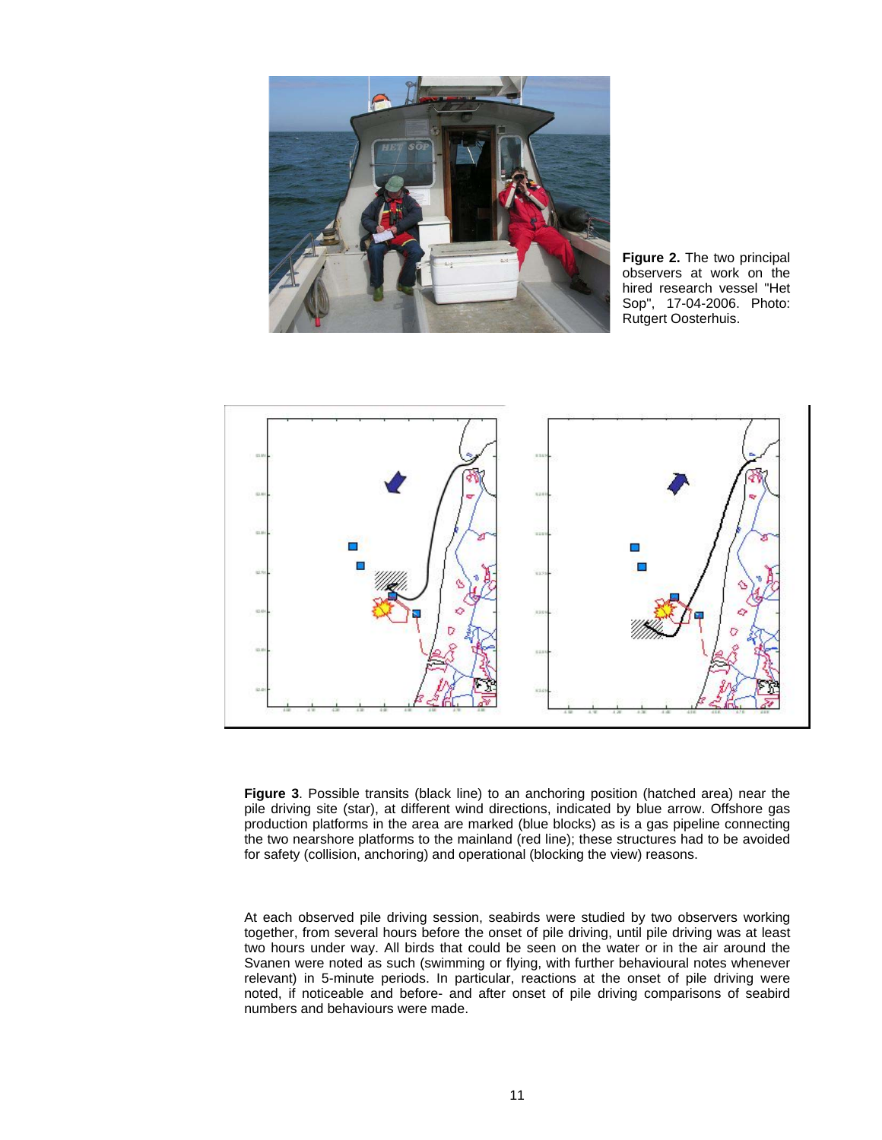

**Figure 2.** The two principal observers at work on the hired research vessel "Het Sop", 17-04-2006. Photo: Rutgert Oosterhuis.



**Figure 3**. Possible transits (black line) to an anchoring position (hatched area) near the pile driving site (star), at different wind directions, indicated by blue arrow. Offshore gas production platforms in the area are marked (blue blocks) as is a gas pipeline connecting the two nearshore platforms to the mainland (red line); these structures had to be avoided for safety (collision, anchoring) and operational (blocking the view) reasons.

At each observed pile driving session, seabirds were studied by two observers working together, from several hours before the onset of pile driving, until pile driving was at least two hours under way. All birds that could be seen on the water or in the air around the Svanen were noted as such (swimming or flying, with further behavioural notes whenever relevant) in 5-minute periods. In particular, reactions at the onset of pile driving were noted, if noticeable and before- and after onset of pile driving comparisons of seabird numbers and behaviours were made.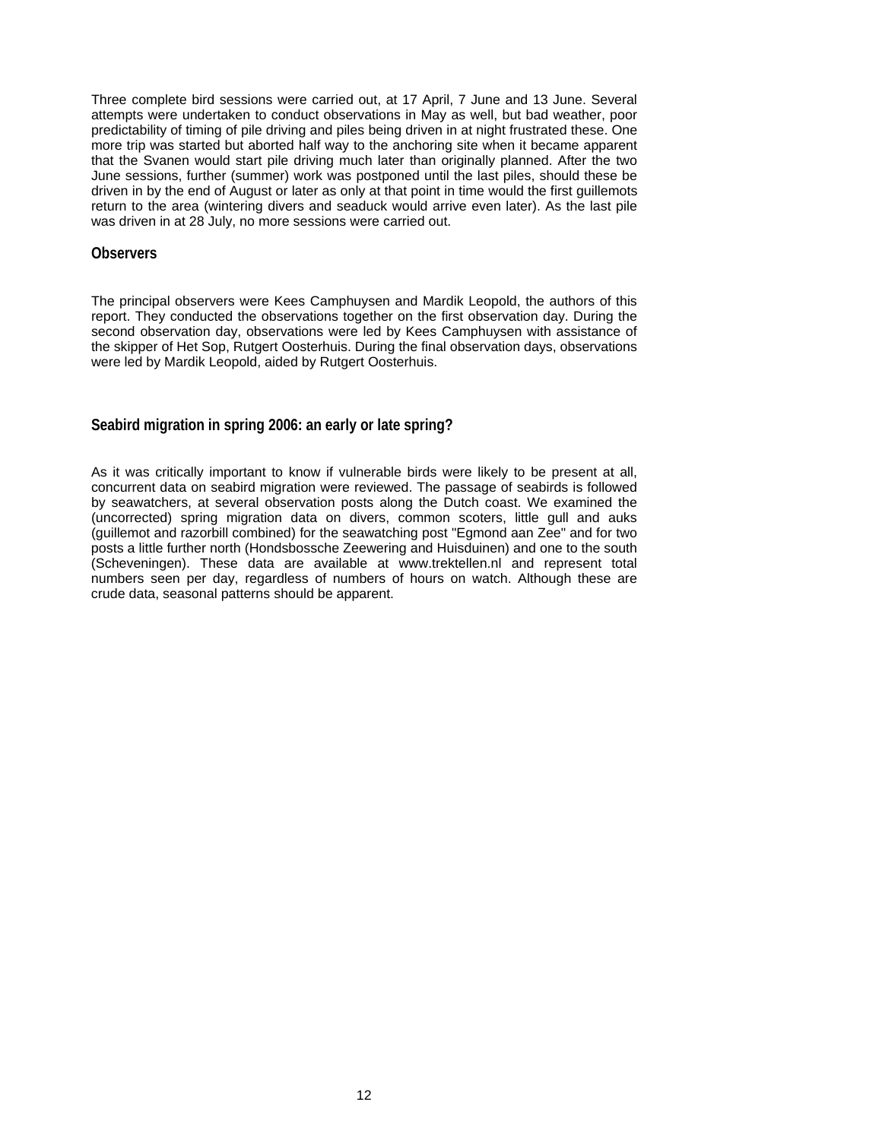Three complete bird sessions were carried out, at 17 April, 7 June and 13 June. Several attempts were undertaken to conduct observations in May as well, but bad weather, poor predictability of timing of pile driving and piles being driven in at night frustrated these. One more trip was started but aborted half way to the anchoring site when it became apparent that the Svanen would start pile driving much later than originally planned. After the two June sessions, further (summer) work was postponed until the last piles, should these be driven in by the end of August or later as only at that point in time would the first guillemots return to the area (wintering divers and seaduck would arrive even later). As the last pile was driven in at 28 July, no more sessions were carried out.

#### **Observers**

The principal observers were Kees Camphuysen and Mardik Leopold, the authors of this report. They conducted the observations together on the first observation day. During the second observation day, observations were led by Kees Camphuysen with assistance of the skipper of Het Sop, Rutgert Oosterhuis. During the final observation days, observations were led by Mardik Leopold, aided by Rutgert Oosterhuis.

#### **Seabird migration in spring 2006: an early or late spring?**

As it was critically important to know if vulnerable birds were likely to be present at all, concurrent data on seabird migration were reviewed. The passage of seabirds is followed by seawatchers, at several observation posts along the Dutch coast. We examined the (uncorrected) spring migration data on divers, common scoters, little gull and auks (guillemot and razorbill combined) for the seawatching post "Egmond aan Zee" and for two posts a little further north (Hondsbossche Zeewering and Huisduinen) and one to the south (Scheveningen). These data are available at www.trektellen.nl and represent total numbers seen per day, regardless of numbers of hours on watch. Although these are crude data, seasonal patterns should be apparent.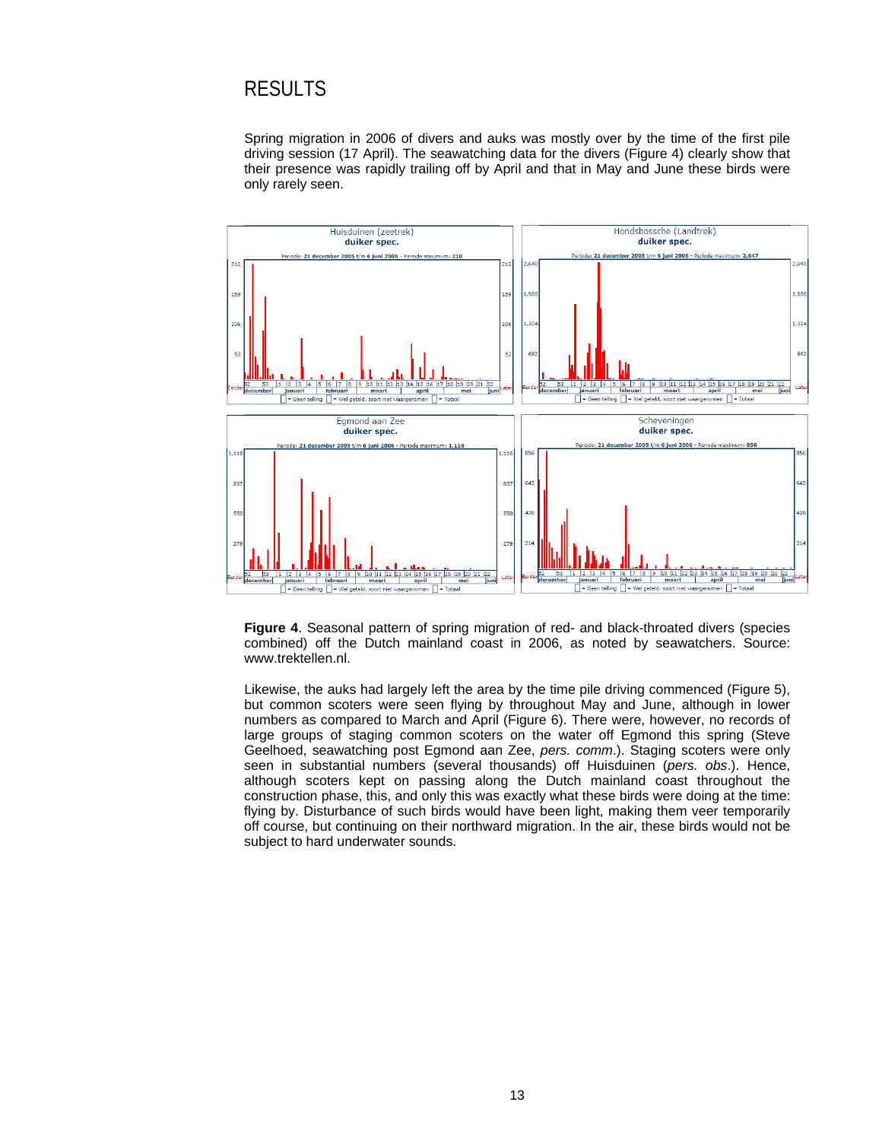## RESULTS

Spring migration in 2006 of divers and auks was mostly over by the time of the first pile driving session (17 April). The seawatching data for the divers (Figure 4) clearly show that their presence was rapidly trailing off by April and that in May and June these birds were only rarely seen.



**Figure 4**. Seasonal pattern of spring migration of red- and black-throated divers (species combined) off the Dutch mainland coast in 2006, as noted by seawatchers. Source: www.trektellen.nl.

Likewise, the auks had largely left the area by the time pile driving commenced (Figure 5), but common scoters were seen flying by throughout May and June, although in lower numbers as compared to March and April (Figure 6). There were, however, no records of large groups of staging common scoters on the water off Egmond this spring (Steve Geelhoed, seawatching post Egmond aan Zee, *pers. comm*.). Staging scoters were only seen in substantial numbers (several thousands) off Huisduinen (*pers. obs*.). Hence, although scoters kept on passing along the Dutch mainland coast throughout the construction phase, this, and only this was exactly what these birds were doing at the time: flying by. Disturbance of such birds would have been light, making them veer temporarily off course, but continuing on their northward migration. In the air, these birds would not be subject to hard underwater sounds.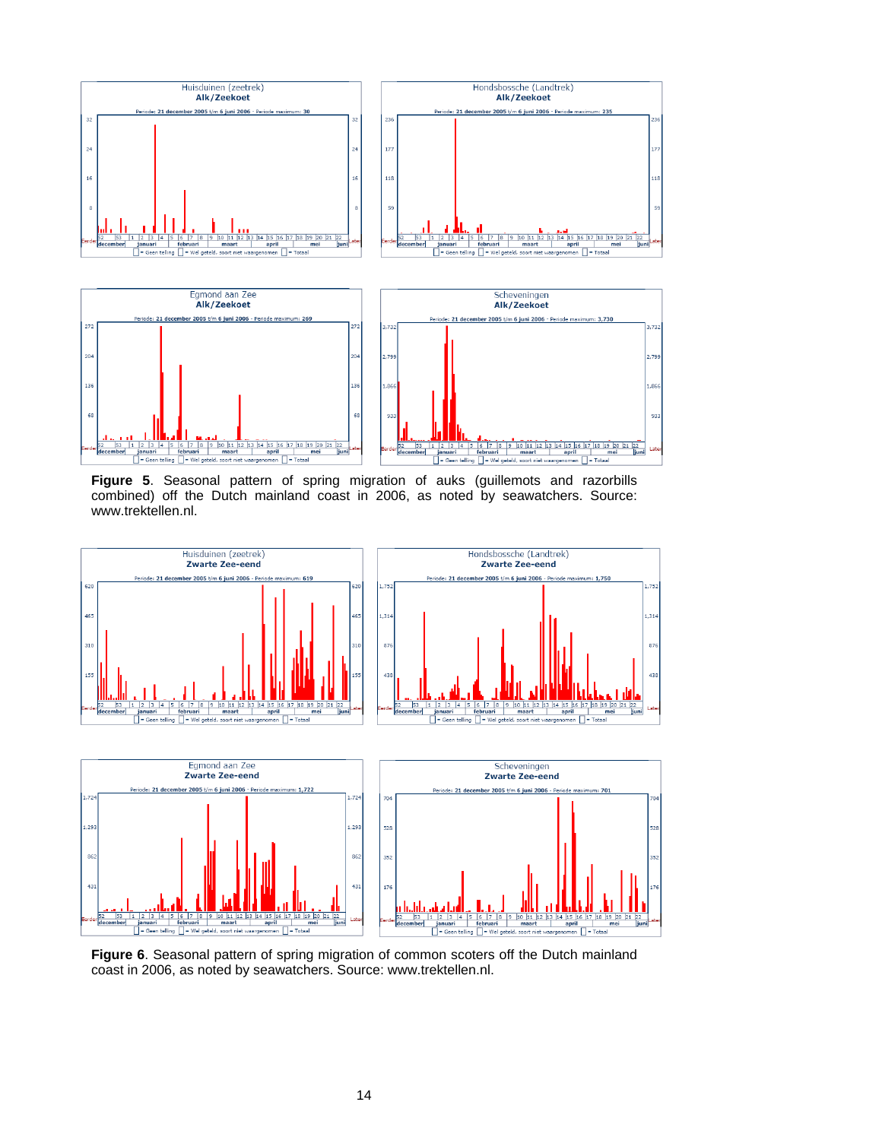

**Figure 5**. Seasonal pattern of spring migration of auks (guillemots and razorbills combined) off the Dutch mainland coast in 2006, as noted by seawatchers. Source: www.trektellen.nl.



**Figure 6**. Seasonal pattern of spring migration of common scoters off the Dutch mainland coast in 2006, as noted by seawatchers. Source: www.trektellen.nl.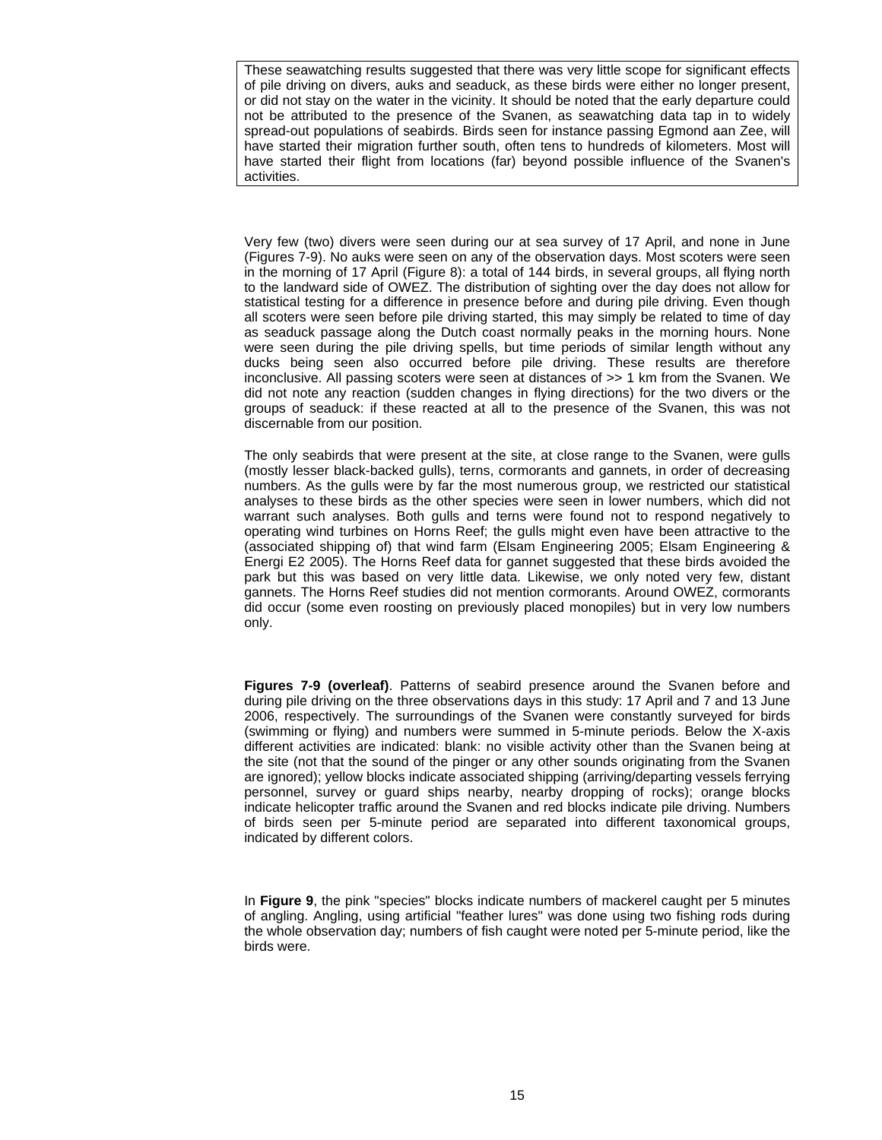These seawatching results suggested that there was very little scope for significant effects of pile driving on divers, auks and seaduck, as these birds were either no longer present, or did not stay on the water in the vicinity. It should be noted that the early departure could not be attributed to the presence of the Svanen, as seawatching data tap in to widely spread-out populations of seabirds. Birds seen for instance passing Egmond aan Zee, will have started their migration further south, often tens to hundreds of kilometers. Most will have started their flight from locations (far) beyond possible influence of the Svanen's activities.

Very few (two) divers were seen during our at sea survey of 17 April, and none in June (Figures 7-9). No auks were seen on any of the observation days. Most scoters were seen in the morning of 17 April (Figure 8): a total of 144 birds, in several groups, all flying north to the landward side of OWEZ. The distribution of sighting over the day does not allow for statistical testing for a difference in presence before and during pile driving. Even though all scoters were seen before pile driving started, this may simply be related to time of day as seaduck passage along the Dutch coast normally peaks in the morning hours. None were seen during the pile driving spells, but time periods of similar length without any ducks being seen also occurred before pile driving. These results are therefore inconclusive. All passing scoters were seen at distances of >> 1 km from the Svanen. We did not note any reaction (sudden changes in flying directions) for the two divers or the groups of seaduck: if these reacted at all to the presence of the Svanen, this was not discernable from our position.

The only seabirds that were present at the site, at close range to the Svanen, were gulls (mostly lesser black-backed gulls), terns, cormorants and gannets, in order of decreasing numbers. As the gulls were by far the most numerous group, we restricted our statistical analyses to these birds as the other species were seen in lower numbers, which did not warrant such analyses. Both gulls and terns were found not to respond negatively to operating wind turbines on Horns Reef; the gulls might even have been attractive to the (associated shipping of) that wind farm (Elsam Engineering 2005; Elsam Engineering & Energi E2 2005). The Horns Reef data for gannet suggested that these birds avoided the park but this was based on very little data. Likewise, we only noted very few, distant gannets. The Horns Reef studies did not mention cormorants. Around OWEZ, cormorants did occur (some even roosting on previously placed monopiles) but in very low numbers only.

**Figures 7-9 (overleaf)**. Patterns of seabird presence around the Svanen before and during pile driving on the three observations days in this study: 17 April and 7 and 13 June 2006, respectively. The surroundings of the Svanen were constantly surveyed for birds (swimming or flying) and numbers were summed in 5-minute periods. Below the X-axis different activities are indicated: blank: no visible activity other than the Svanen being at the site (not that the sound of the pinger or any other sounds originating from the Svanen are ignored); yellow blocks indicate associated shipping (arriving/departing vessels ferrying personnel, survey or guard ships nearby, nearby dropping of rocks); orange blocks indicate helicopter traffic around the Svanen and red blocks indicate pile driving. Numbers of birds seen per 5-minute period are separated into different taxonomical groups, indicated by different colors.

In **Figure 9**, the pink "species" blocks indicate numbers of mackerel caught per 5 minutes of angling. Angling, using artificial "feather lures" was done using two fishing rods during the whole observation day; numbers of fish caught were noted per 5-minute period, like the birds were.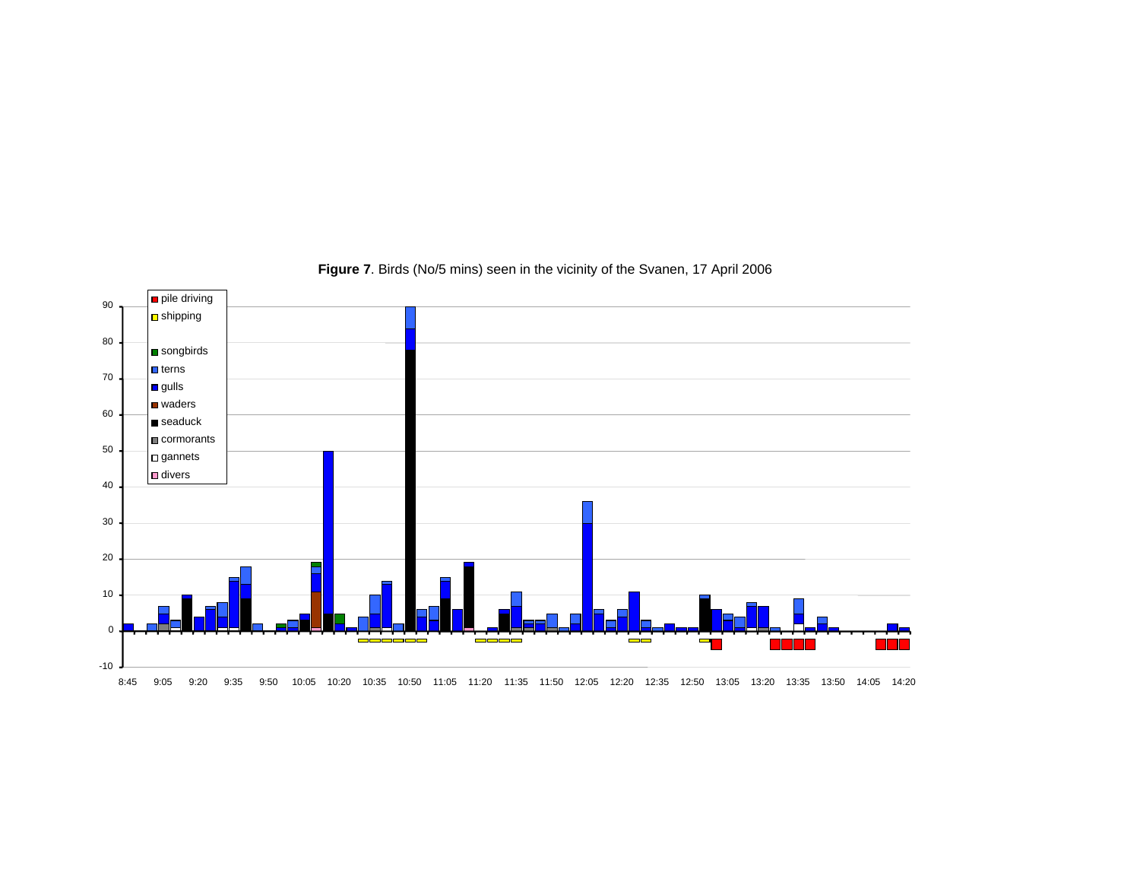

**Figure 7**. Birds (No/5 mins) seen in the vicinity of the Svanen, 17 April 2006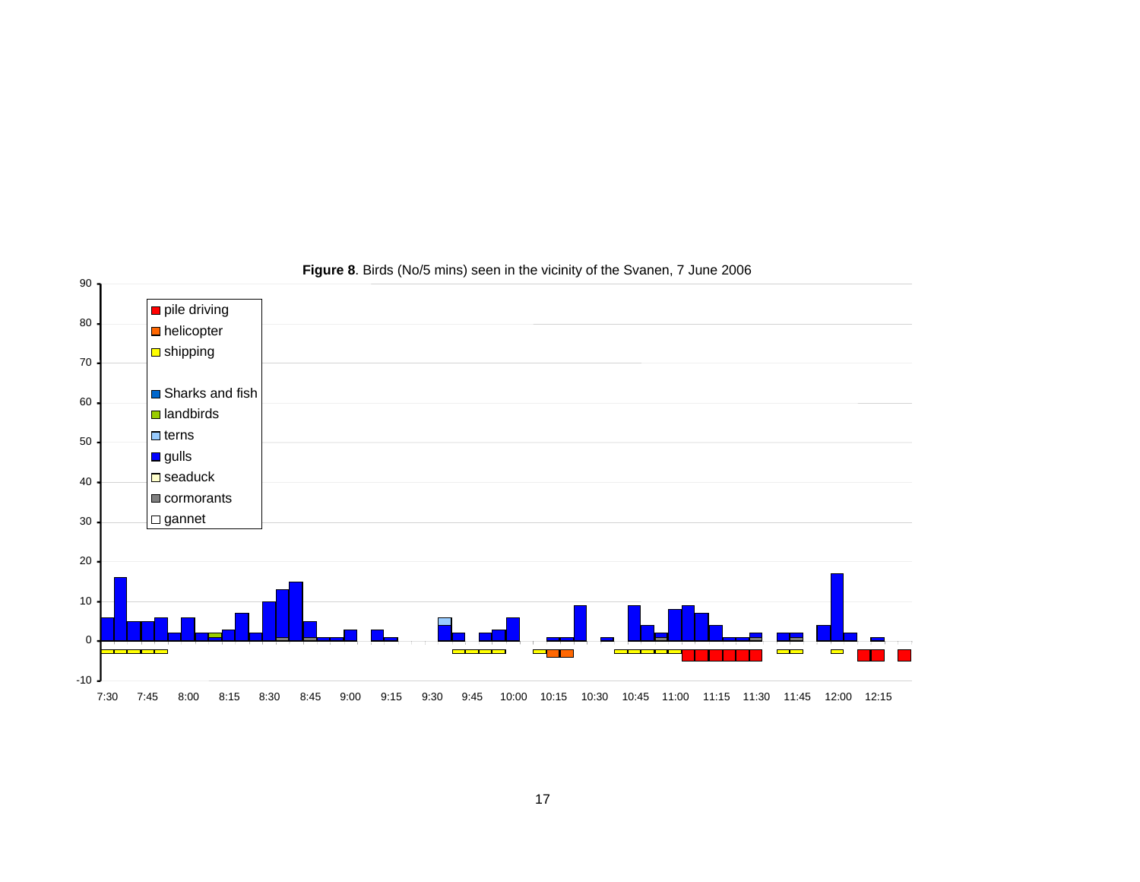

#### **Figure 8**. Birds (No/5 mins) seen in the vicinity of the Svanen, 7 June 2006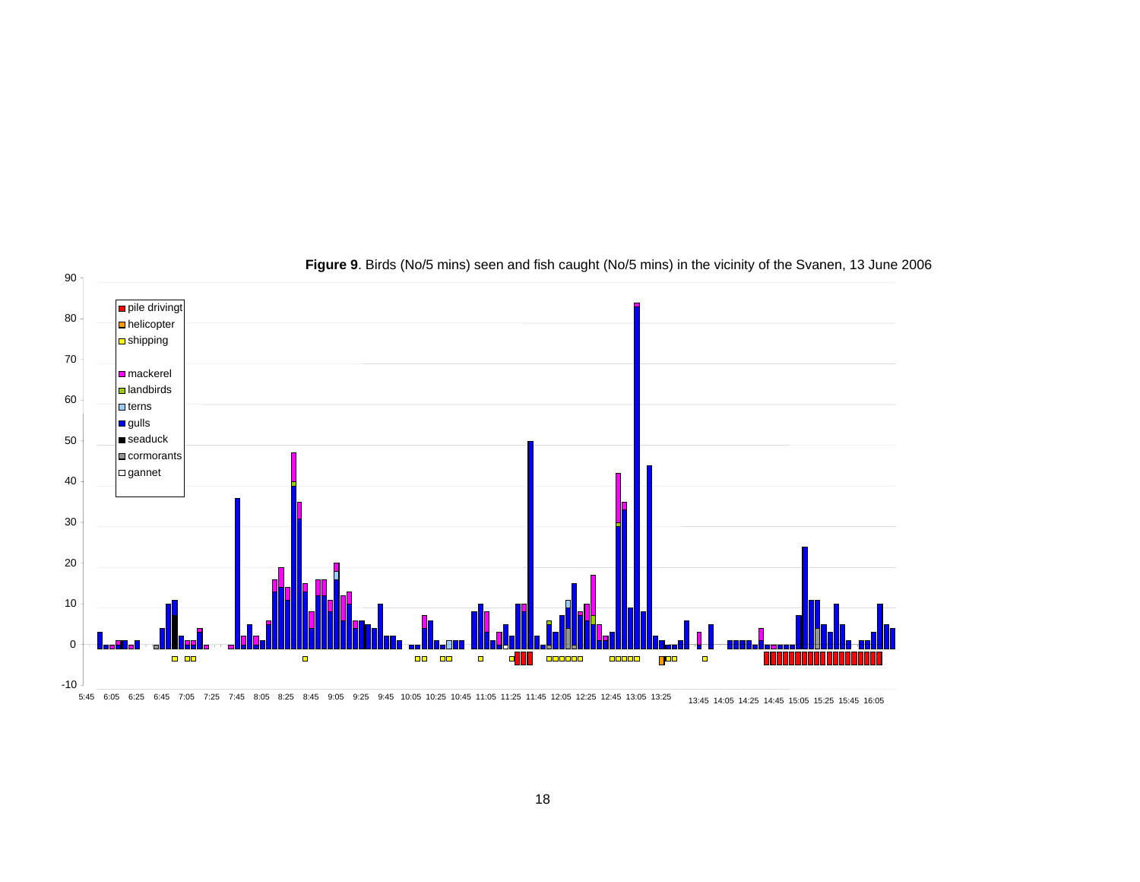

**Figure 9**. Birds (No/5 mins) seen and fish caught (No/5 mins) in the vicinity of the Svanen, 13 June 2006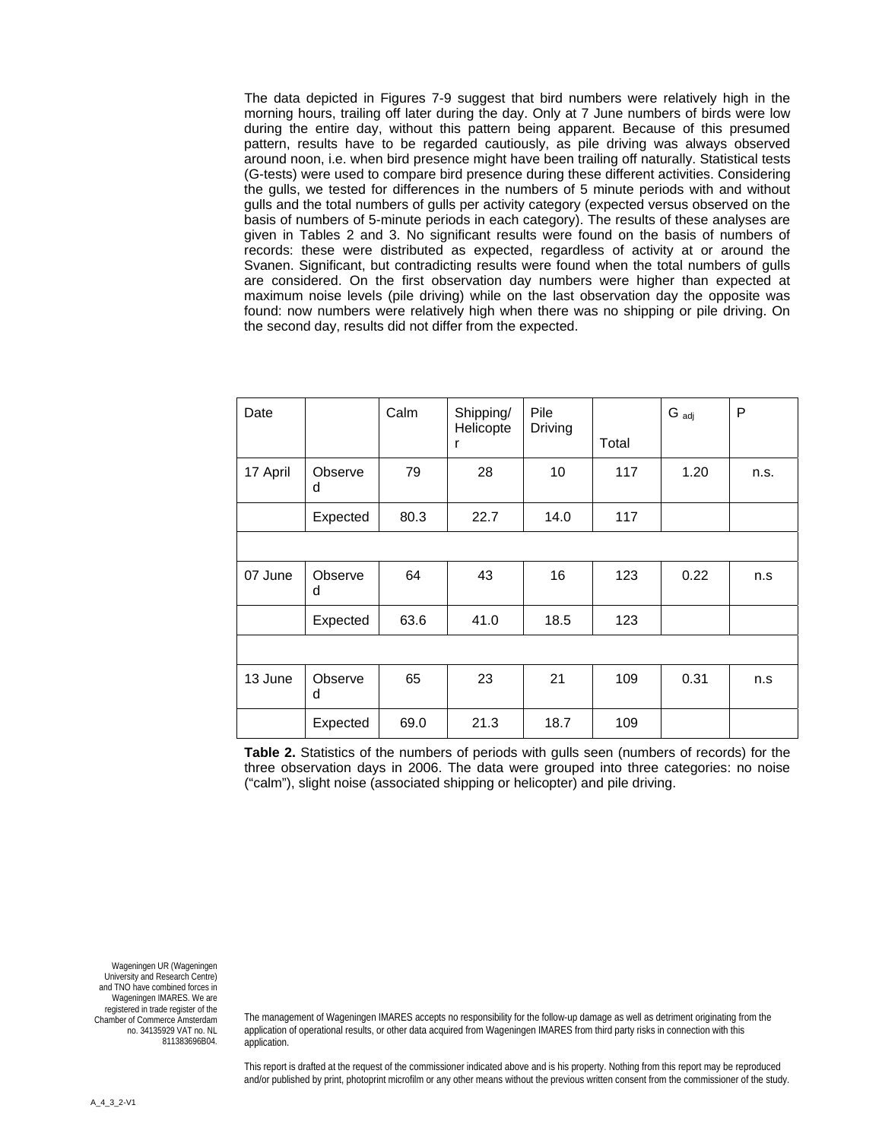The data depicted in Figures 7-9 suggest that bird numbers were relatively high in the morning hours, trailing off later during the day. Only at 7 June numbers of birds were low during the entire day, without this pattern being apparent. Because of this presumed pattern, results have to be regarded cautiously, as pile driving was always observed around noon, i.e. when bird presence might have been trailing off naturally. Statistical tests (G-tests) were used to compare bird presence during these different activities. Considering the gulls, we tested for differences in the numbers of 5 minute periods with and without gulls and the total numbers of gulls per activity category (expected versus observed on the basis of numbers of 5-minute periods in each category). The results of these analyses are given in Tables 2 and 3. No significant results were found on the basis of numbers of records: these were distributed as expected, regardless of activity at or around the Svanen. Significant, but contradicting results were found when the total numbers of gulls are considered. On the first observation day numbers were higher than expected at maximum noise levels (pile driving) while on the last observation day the opposite was found: now numbers were relatively high when there was no shipping or pile driving. On the second day, results did not differ from the expected.

| Date     |              | Calm | Shipping/<br>Helicopte<br>r | Pile<br>Driving | Total | $G_{\text{adj}}$ | P    |
|----------|--------------|------|-----------------------------|-----------------|-------|------------------|------|
| 17 April | Observe<br>d | 79   | 28                          | 10              | 117   | 1.20             | n.s. |
|          | Expected     | 80.3 | 22.7                        | 14.0            | 117   |                  |      |
|          |              |      |                             |                 |       |                  |      |
| 07 June  | Observe<br>d | 64   | 43                          | 16              | 123   | 0.22             | n.s  |
|          | Expected     | 63.6 | 41.0                        | 18.5            | 123   |                  |      |
|          |              |      |                             |                 |       |                  |      |
| 13 June  | Observe<br>d | 65   | 23                          | 21              | 109   | 0.31             | n.s  |
|          | Expected     | 69.0 | 21.3                        | 18.7            | 109   |                  |      |

**Table 2.** Statistics of the numbers of periods with gulls seen (numbers of records) for the three observation days in 2006. The data were grouped into three categories: no noise ("calm"), slight noise (associated shipping or helicopter) and pile driving.

Wageningen UR (Wageningen University and Research Centre) and TNO have combined forces in Wageningen IMARES. We are registered in trade register of the Chamber of Commerce Amsterdam no. 34135929 VAT no. NL 811383696B04.

The management of Wageningen IMARES accepts no responsibility for the follow-up damage as well as detriment originating from the application of operational results, or other data acquired from Wageningen IMARES from third party risks in connection with this application.

This report is drafted at the request of the commissioner indicated above and is his property. Nothing from this report may be reproduced and/or published by print, photoprint microfilm or any other means without the previous written consent from the commissioner of the study.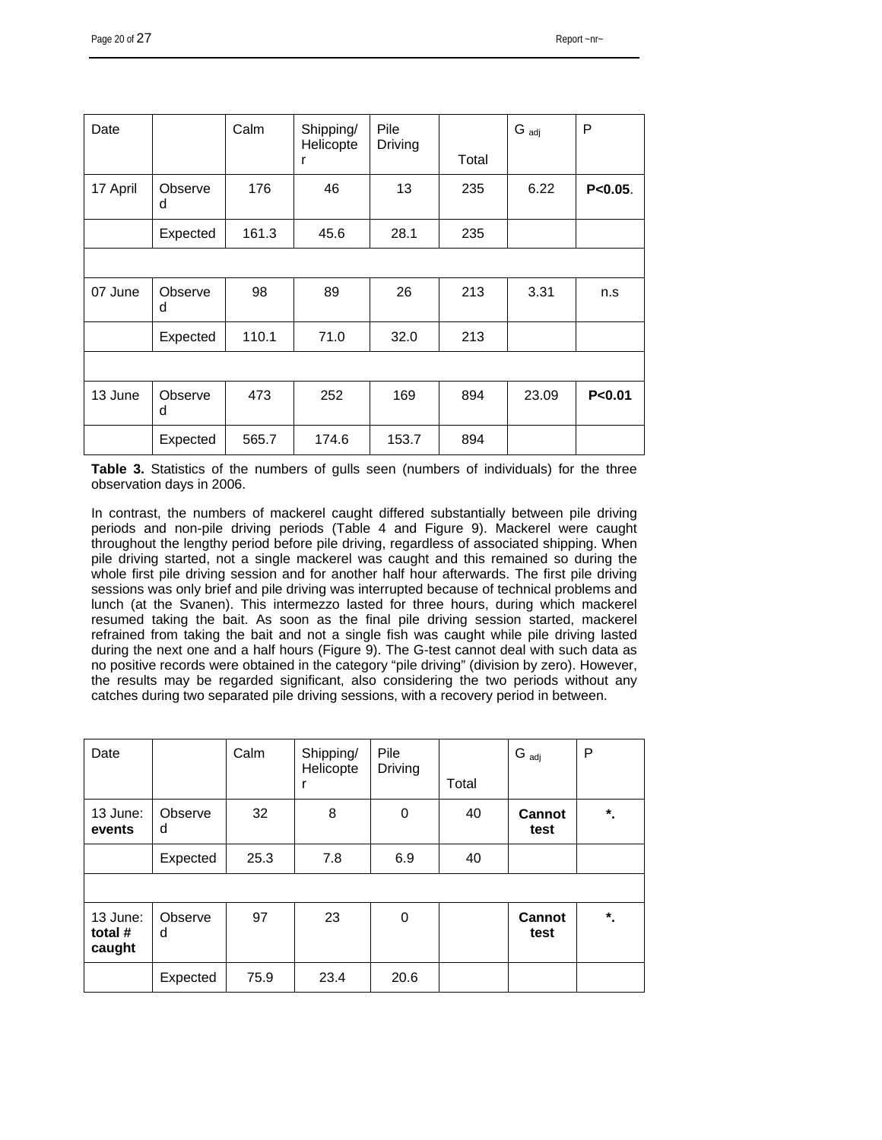| Date     |              | Calm  | Shipping/<br>Helicopte<br>r | Pile<br>Driving | Total | $G_{\text{adj}}$ | P            |
|----------|--------------|-------|-----------------------------|-----------------|-------|------------------|--------------|
| 17 April | Observe<br>d | 176   | 46                          | 13              | 235   | 6.22             | $P < 0.05$ . |
|          | Expected     | 161.3 | 45.6                        | 28.1            | 235   |                  |              |
|          |              |       |                             |                 |       |                  |              |
| 07 June  | Observe<br>d | 98    | 89                          | 26              | 213   | 3.31             | n.s          |
|          | Expected     | 110.1 | 71.0                        | 32.0            | 213   |                  |              |
|          |              |       |                             |                 |       |                  |              |
| 13 June  | Observe<br>d | 473   | 252                         | 169             | 894   | 23.09            | P < 0.01     |
|          | Expected     | 565.7 | 174.6                       | 153.7           | 894   |                  |              |

**Table 3.** Statistics of the numbers of gulls seen (numbers of individuals) for the three observation days in 2006.

In contrast, the numbers of mackerel caught differed substantially between pile driving periods and non-pile driving periods (Table 4 and Figure 9). Mackerel were caught throughout the lengthy period before pile driving, regardless of associated shipping. When pile driving started, not a single mackerel was caught and this remained so during the whole first pile driving session and for another half hour afterwards. The first pile driving sessions was only brief and pile driving was interrupted because of technical problems and lunch (at the Svanen). This intermezzo lasted for three hours, during which mackerel resumed taking the bait. As soon as the final pile driving session started, mackerel refrained from taking the bait and not a single fish was caught while pile driving lasted during the next one and a half hours (Figure 9). The G-test cannot deal with such data as no positive records were obtained in the category "pile driving" (division by zero). However, the results may be regarded significant, also considering the two periods without any catches during two separated pile driving sessions, with a recovery period in between.

| Date                            |              | Calm | Shipping/<br>Helicopte | Pile<br>Driving | Total | $G_{\text{adj}}$ | P         |
|---------------------------------|--------------|------|------------------------|-----------------|-------|------------------|-----------|
| 13 June:<br>events              | Observe<br>d | 32   | 8                      | 0               | 40    | Cannot<br>test   | $^\star.$ |
|                                 | Expected     | 25.3 | 7.8                    | 6.9             | 40    |                  |           |
|                                 |              |      |                        |                 |       |                  |           |
| 13 June:<br>total $#$<br>caught | Observe<br>d | 97   | 23                     | 0               |       | Cannot<br>test   | $^\star$  |
|                                 | Expected     | 75.9 | 23.4                   | 20.6            |       |                  |           |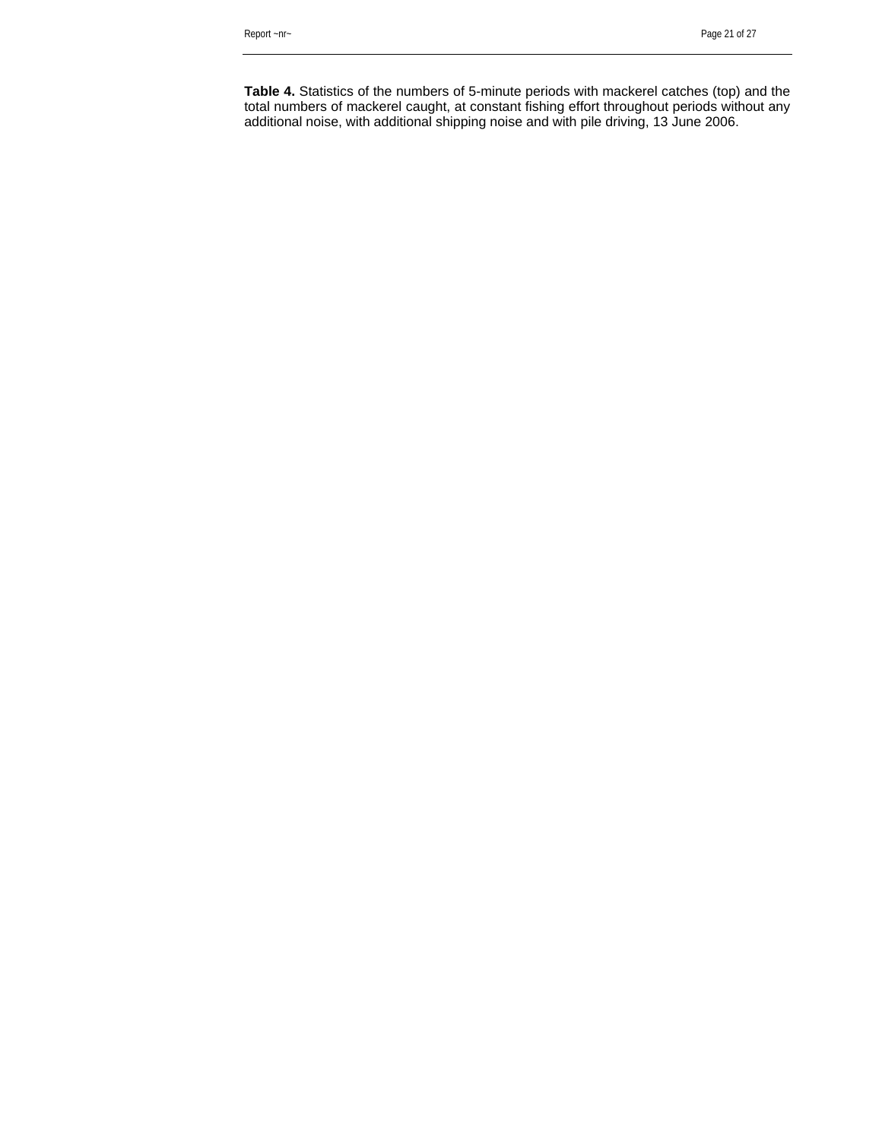**Table 4.** Statistics of the numbers of 5-minute periods with mackerel catches (top) and the total numbers of mackerel caught, at constant fishing effort throughout periods without any additional noise, with additional shipping noise and with pile driving, 13 June 2006.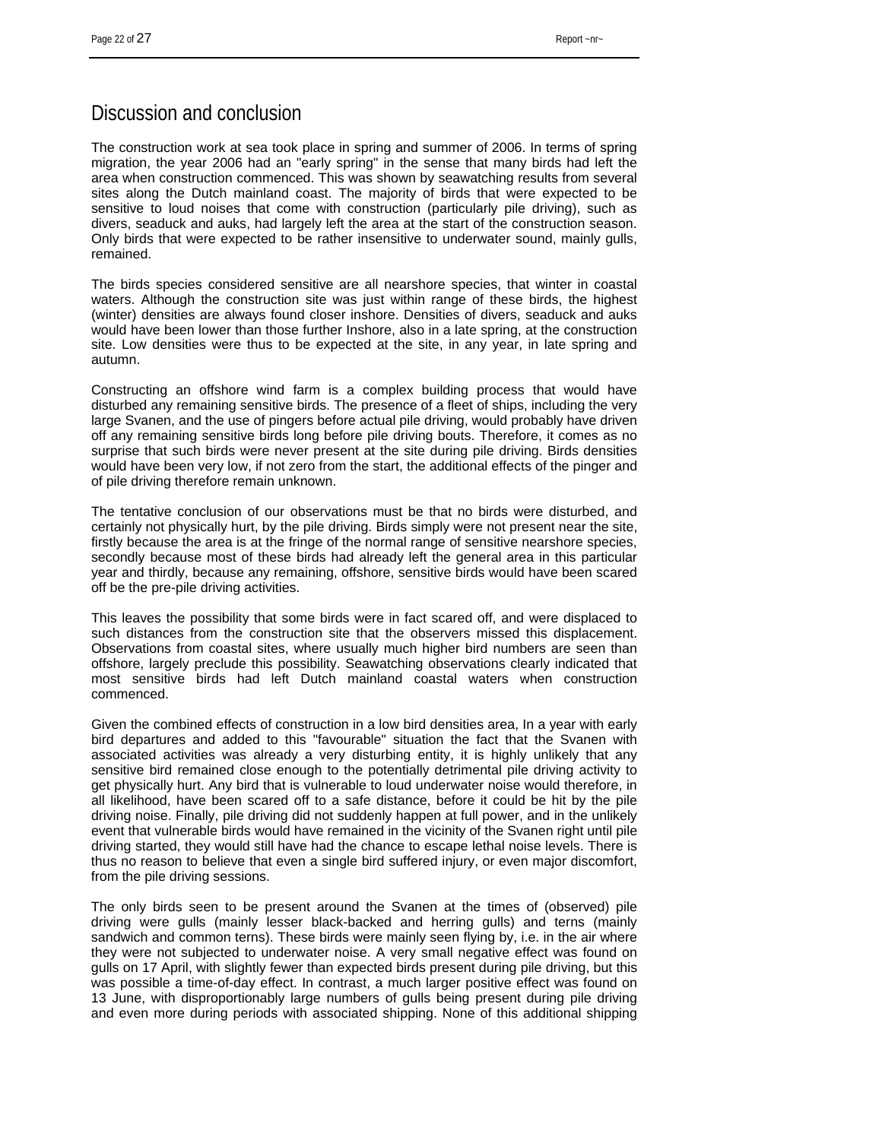### Discussion and conclusion

The construction work at sea took place in spring and summer of 2006. In terms of spring migration, the year 2006 had an "early spring" in the sense that many birds had left the area when construction commenced. This was shown by seawatching results from several sites along the Dutch mainland coast. The majority of birds that were expected to be sensitive to loud noises that come with construction (particularly pile driving), such as divers, seaduck and auks, had largely left the area at the start of the construction season. Only birds that were expected to be rather insensitive to underwater sound, mainly gulls, remained.

The birds species considered sensitive are all nearshore species, that winter in coastal waters. Although the construction site was just within range of these birds, the highest (winter) densities are always found closer inshore. Densities of divers, seaduck and auks would have been lower than those further Inshore, also in a late spring, at the construction site. Low densities were thus to be expected at the site, in any year, in late spring and autumn.

Constructing an offshore wind farm is a complex building process that would have disturbed any remaining sensitive birds. The presence of a fleet of ships, including the very large Svanen, and the use of pingers before actual pile driving, would probably have driven off any remaining sensitive birds long before pile driving bouts. Therefore, it comes as no surprise that such birds were never present at the site during pile driving. Birds densities would have been very low, if not zero from the start, the additional effects of the pinger and of pile driving therefore remain unknown.

The tentative conclusion of our observations must be that no birds were disturbed, and certainly not physically hurt, by the pile driving. Birds simply were not present near the site, firstly because the area is at the fringe of the normal range of sensitive nearshore species, secondly because most of these birds had already left the general area in this particular year and thirdly, because any remaining, offshore, sensitive birds would have been scared off be the pre-pile driving activities.

This leaves the possibility that some birds were in fact scared off, and were displaced to such distances from the construction site that the observers missed this displacement. Observations from coastal sites, where usually much higher bird numbers are seen than offshore, largely preclude this possibility. Seawatching observations clearly indicated that most sensitive birds had left Dutch mainland coastal waters when construction commenced.

Given the combined effects of construction in a low bird densities area, In a year with early bird departures and added to this "favourable" situation the fact that the Svanen with associated activities was already a very disturbing entity, it is highly unlikely that any sensitive bird remained close enough to the potentially detrimental pile driving activity to get physically hurt. Any bird that is vulnerable to loud underwater noise would therefore, in all likelihood, have been scared off to a safe distance, before it could be hit by the pile driving noise. Finally, pile driving did not suddenly happen at full power, and in the unlikely event that vulnerable birds would have remained in the vicinity of the Svanen right until pile driving started, they would still have had the chance to escape lethal noise levels. There is thus no reason to believe that even a single bird suffered injury, or even major discomfort, from the pile driving sessions.

The only birds seen to be present around the Svanen at the times of (observed) pile driving were gulls (mainly lesser black-backed and herring gulls) and terns (mainly sandwich and common terns). These birds were mainly seen flying by, i.e. in the air where they were not subjected to underwater noise. A very small negative effect was found on gulls on 17 April, with slightly fewer than expected birds present during pile driving, but this was possible a time-of-day effect. In contrast, a much larger positive effect was found on 13 June, with disproportionably large numbers of gulls being present during pile driving and even more during periods with associated shipping. None of this additional shipping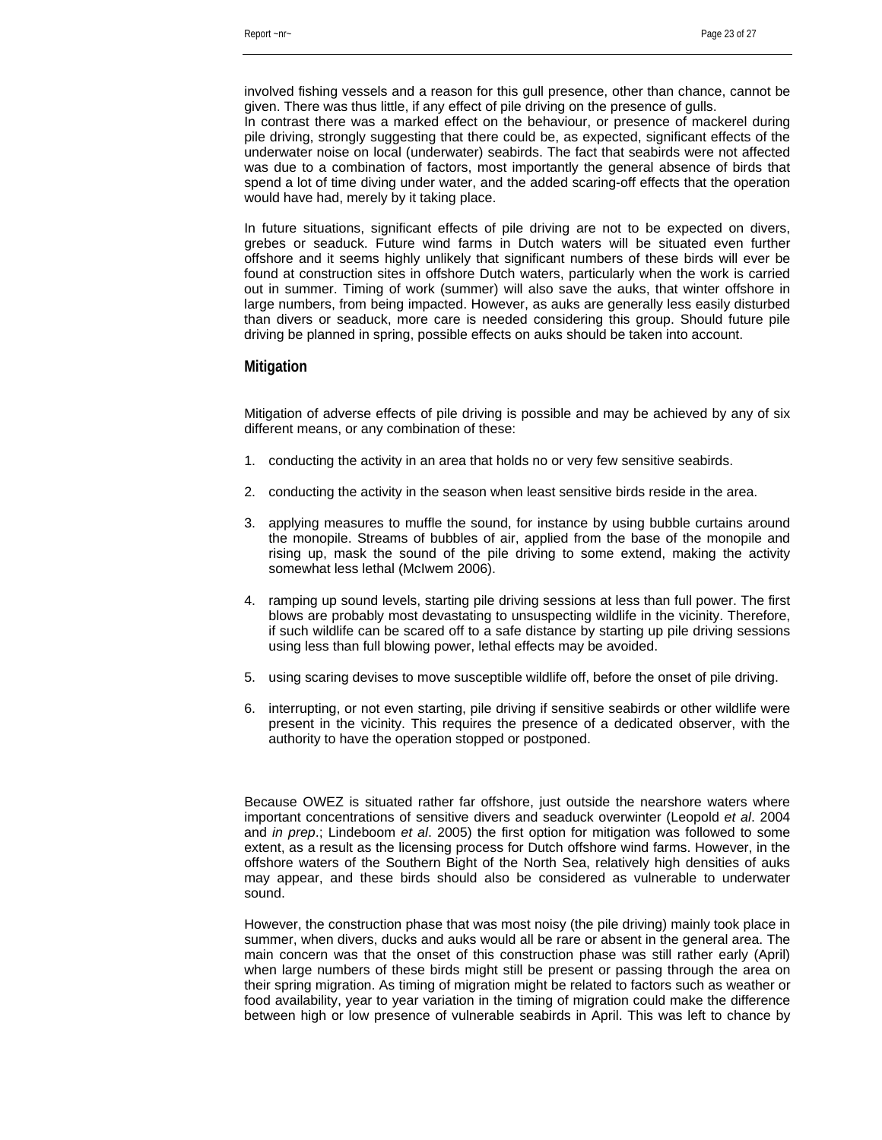involved fishing vessels and a reason for this gull presence, other than chance, cannot be given. There was thus little, if any effect of pile driving on the presence of gulls.

In contrast there was a marked effect on the behaviour, or presence of mackerel during pile driving, strongly suggesting that there could be, as expected, significant effects of the underwater noise on local (underwater) seabirds. The fact that seabirds were not affected was due to a combination of factors, most importantly the general absence of birds that spend a lot of time diving under water, and the added scaring-off effects that the operation would have had, merely by it taking place.

In future situations, significant effects of pile driving are not to be expected on divers, grebes or seaduck. Future wind farms in Dutch waters will be situated even further offshore and it seems highly unlikely that significant numbers of these birds will ever be found at construction sites in offshore Dutch waters, particularly when the work is carried out in summer. Timing of work (summer) will also save the auks, that winter offshore in large numbers, from being impacted. However, as auks are generally less easily disturbed than divers or seaduck, more care is needed considering this group. Should future pile driving be planned in spring, possible effects on auks should be taken into account.

#### **Mitigation**

Mitigation of adverse effects of pile driving is possible and may be achieved by any of six different means, or any combination of these:

- 1. conducting the activity in an area that holds no or very few sensitive seabirds.
- 2. conducting the activity in the season when least sensitive birds reside in the area.
- 3. applying measures to muffle the sound, for instance by using bubble curtains around the monopile. Streams of bubbles of air, applied from the base of the monopile and rising up, mask the sound of the pile driving to some extend, making the activity somewhat less lethal (McIwem 2006).
- 4. ramping up sound levels, starting pile driving sessions at less than full power. The first blows are probably most devastating to unsuspecting wildlife in the vicinity. Therefore, if such wildlife can be scared off to a safe distance by starting up pile driving sessions using less than full blowing power, lethal effects may be avoided.
- 5. using scaring devises to move susceptible wildlife off, before the onset of pile driving.
- 6. interrupting, or not even starting, pile driving if sensitive seabirds or other wildlife were present in the vicinity. This requires the presence of a dedicated observer, with the authority to have the operation stopped or postponed.

Because OWEZ is situated rather far offshore, just outside the nearshore waters where important concentrations of sensitive divers and seaduck overwinter (Leopold *et al*. 2004 and *in prep*.; Lindeboom *et al*. 2005) the first option for mitigation was followed to some extent, as a result as the licensing process for Dutch offshore wind farms. However, in the offshore waters of the Southern Bight of the North Sea, relatively high densities of auks may appear, and these birds should also be considered as vulnerable to underwater sound.

However, the construction phase that was most noisy (the pile driving) mainly took place in summer, when divers, ducks and auks would all be rare or absent in the general area. The main concern was that the onset of this construction phase was still rather early (April) when large numbers of these birds might still be present or passing through the area on their spring migration. As timing of migration might be related to factors such as weather or food availability, year to year variation in the timing of migration could make the difference between high or low presence of vulnerable seabirds in April. This was left to chance by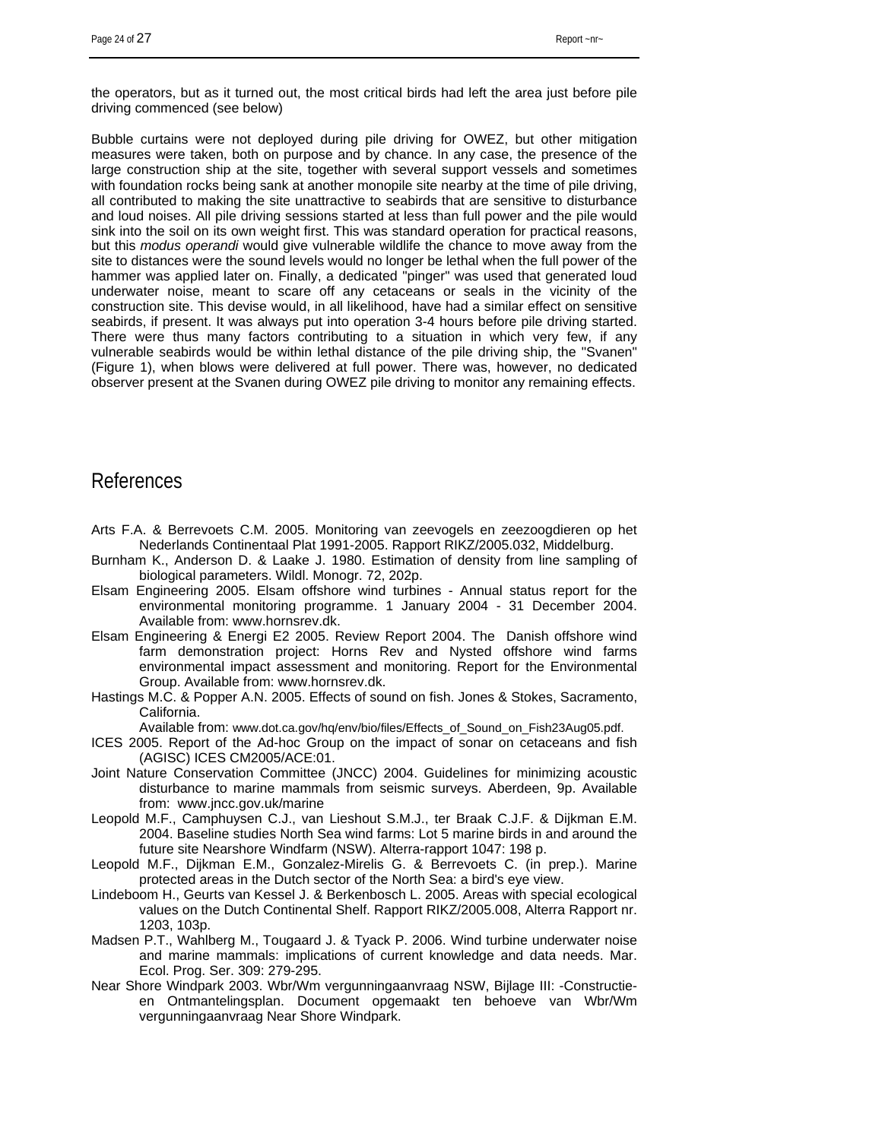the operators, but as it turned out, the most critical birds had left the area just before pile driving commenced (see below)

Bubble curtains were not deployed during pile driving for OWEZ, but other mitigation measures were taken, both on purpose and by chance. In any case, the presence of the large construction ship at the site, together with several support vessels and sometimes with foundation rocks being sank at another monopile site nearby at the time of pile driving, all contributed to making the site unattractive to seabirds that are sensitive to disturbance and loud noises. All pile driving sessions started at less than full power and the pile would sink into the soil on its own weight first. This was standard operation for practical reasons, but this *modus operandi* would give vulnerable wildlife the chance to move away from the site to distances were the sound levels would no longer be lethal when the full power of the hammer was applied later on. Finally, a dedicated "pinger" was used that generated loud underwater noise, meant to scare off any cetaceans or seals in the vicinity of the construction site. This devise would, in all likelihood, have had a similar effect on sensitive seabirds, if present. It was always put into operation 3-4 hours before pile driving started. There were thus many factors contributing to a situation in which very few, if any vulnerable seabirds would be within lethal distance of the pile driving ship, the "Svanen" (Figure 1), when blows were delivered at full power. There was, however, no dedicated observer present at the Svanen during OWEZ pile driving to monitor any remaining effects.

### References

- Arts F.A. & Berrevoets C.M. 2005. Monitoring van zeevogels en zeezoogdieren op het Nederlands Continentaal Plat 1991-2005. Rapport RIKZ/2005.032, Middelburg.
- Burnham K., Anderson D. & Laake J. 1980. Estimation of density from line sampling of biological parameters. Wildl. Monogr. 72, 202p.
- Elsam Engineering 2005. Elsam offshore wind turbines Annual status report for the environmental monitoring programme. 1 January 2004 - 31 December 2004. Available from: www.hornsrev.dk.
- Elsam Engineering & Energi E2 2005. Review Report 2004. The Danish offshore wind farm demonstration project: Horns Rev and Nysted offshore wind farms environmental impact assessment and monitoring. Report for the Environmental Group. Available from: www.hornsrev.dk.
- Hastings M.C. & Popper A.N. 2005. Effects of sound on fish. Jones & Stokes, Sacramento, California.

Available from: www.dot.ca.gov/hq/env/bio/files/Effects\_of\_Sound\_on\_Fish23Aug05.pdf.

- ICES 2005. Report of the Ad-hoc Group on the impact of sonar on cetaceans and fish (AGISC) ICES CM2005/ACE:01.
- Joint Nature Conservation Committee (JNCC) 2004. Guidelines for minimizing acoustic disturbance to marine mammals from seismic surveys. Aberdeen, 9p. Available from: www.jncc.gov.uk/marine
- Leopold M.F., Camphuysen C.J., van Lieshout S.M.J., ter Braak C.J.F. & Dijkman E.M. 2004. Baseline studies North Sea wind farms: Lot 5 marine birds in and around the future site Nearshore Windfarm (NSW). Alterra-rapport 1047: 198 p.
- Leopold M.F., Dijkman E.M., Gonzalez-Mirelis G. & Berrevoets C. (in prep.). Marine protected areas in the Dutch sector of the North Sea: a bird's eye view.
- Lindeboom H., Geurts van Kessel J. & Berkenbosch L. 2005. Areas with special ecological values on the Dutch Continental Shelf. Rapport RIKZ/2005.008, Alterra Rapport nr. 1203, 103p.
- Madsen P.T., Wahlberg M., Tougaard J. & Tyack P. 2006. Wind turbine underwater noise and marine mammals: implications of current knowledge and data needs. Mar. Ecol. Prog. Ser. 309: 279-295.
- Near Shore Windpark 2003. Wbr/Wm vergunningaanvraag NSW, Bijlage III: -Constructieen Ontmantelingsplan. Document opgemaakt ten behoeve van Wbr/Wm vergunningaanvraag Near Shore Windpark.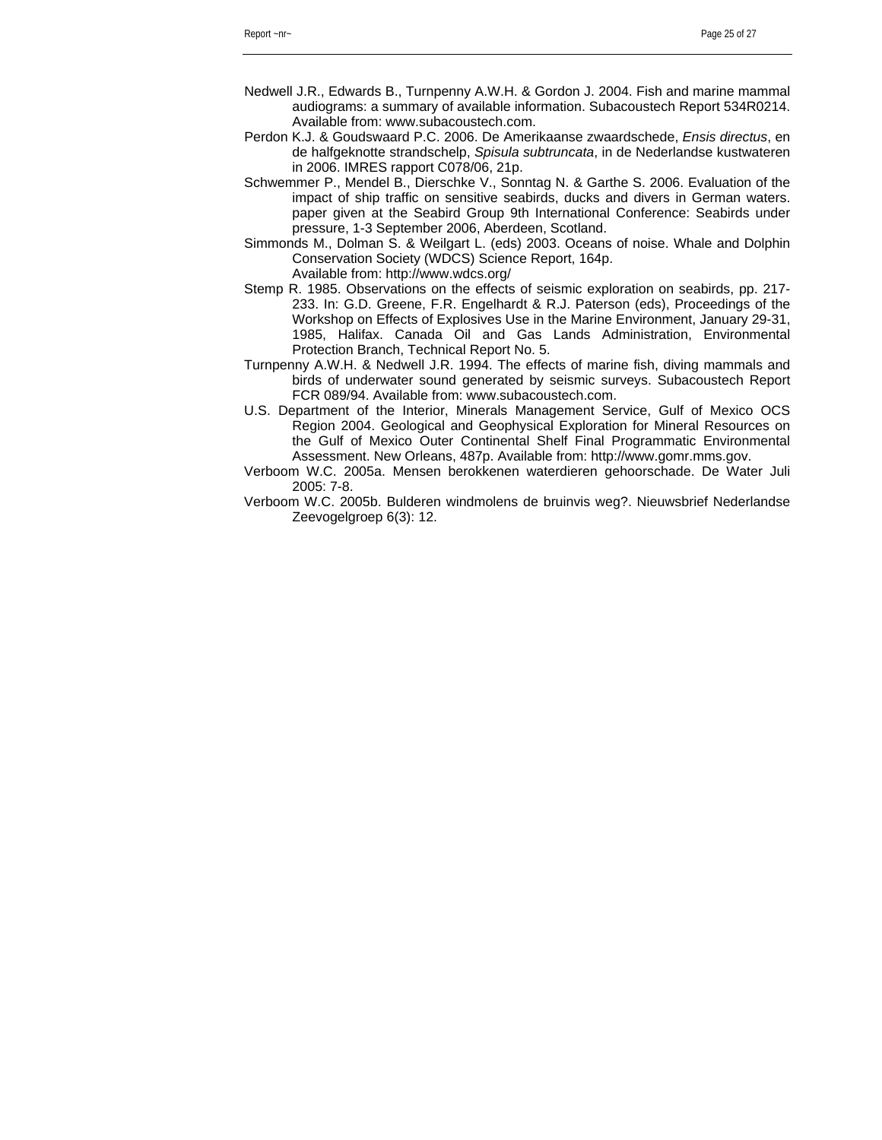- Nedwell J.R., Edwards B., Turnpenny A.W.H. & Gordon J. 2004. Fish and marine mammal audiograms: a summary of available information. Subacoustech Report 534R0214. Available from: www.subacoustech.com.
- Perdon K.J. & Goudswaard P.C. 2006. De Amerikaanse zwaardschede, *Ensis directus*, en de halfgeknotte strandschelp, *Spisula subtruncata*, in de Nederlandse kustwateren in 2006. IMRES rapport C078/06, 21p.
- Schwemmer P., Mendel B., Dierschke V., Sonntag N. & Garthe S. 2006. Evaluation of the impact of ship traffic on sensitive seabirds, ducks and divers in German waters. paper given at the Seabird Group 9th International Conference: Seabirds under pressure, 1-3 September 2006, Aberdeen, Scotland.
- Simmonds M., Dolman S. & Weilgart L. (eds) 2003. Oceans of noise. Whale and Dolphin Conservation Society (WDCS) Science Report, 164p. Available from: http://www.wdcs.org/
- Stemp R. 1985. Observations on the effects of seismic exploration on seabirds, pp. 217- 233. In: G.D. Greene, F.R. Engelhardt & R.J. Paterson (eds), Proceedings of the Workshop on Effects of Explosives Use in the Marine Environment, January 29-31, 1985, Halifax. Canada Oil and Gas Lands Administration, Environmental Protection Branch, Technical Report No. 5.
- Turnpenny A.W.H. & Nedwell J.R. 1994. The effects of marine fish, diving mammals and birds of underwater sound generated by seismic surveys. Subacoustech Report FCR 089/94. Available from: www.subacoustech.com.
- U.S. Department of the Interior, Minerals Management Service, Gulf of Mexico OCS Region 2004. Geological and Geophysical Exploration for Mineral Resources on the Gulf of Mexico Outer Continental Shelf Final Programmatic Environmental Assessment. New Orleans, 487p. Available from: http://www.gomr.mms.gov.
- Verboom W.C. 2005a. Mensen berokkenen waterdieren gehoorschade. De Water Juli 2005: 7-8.
- Verboom W.C. 2005b. Bulderen windmolens de bruinvis weg?. Nieuwsbrief Nederlandse Zeevogelgroep 6(3): 12.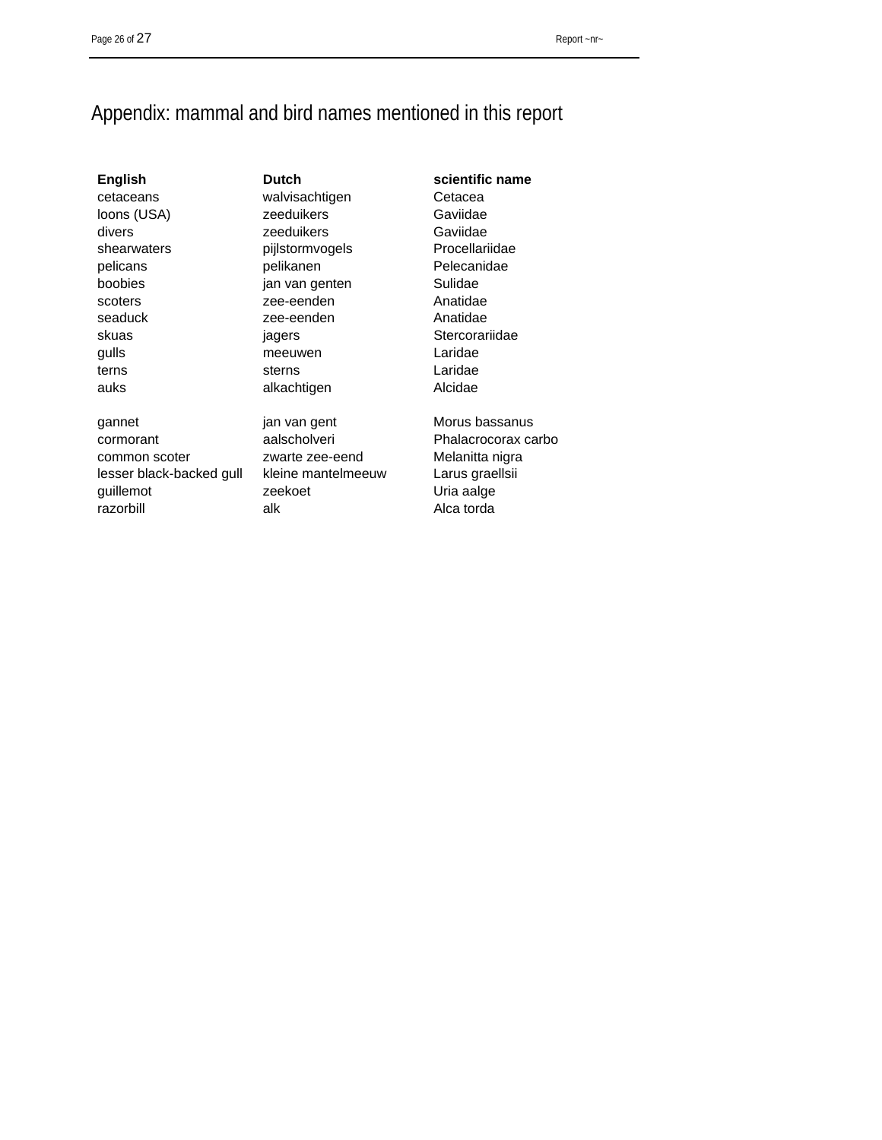# Appendix: mammal and bird names mentioned in this report

gannet jan van gent Morus bassanus cormorant aalscholveri Phalacrocorax carbo common scoter zwarte zee-eend Melanitta nigra lesser black-backed gull kleine mantelmeeuw Larus graellsii guillemot zeekoet Uria aalge razorbill alk alk Alca torda

**English Dutch Dutch Scientific name** cetaceans walvisachtigen Cetacea loons (USA) zeeduikers Gaviidae divers zeeduikers Gaviidae shearwaters **pijlstormvogels** Procellariidae pelicans pelikanen Pelecanidae boobies jan van genten Sulidae scoters **zee-eenden** Anatidae seaduck zee-eenden Anatidae skuas iagers is been stercorariidae gulls meeuwen Laridae terns **Sterns** Sterns **Laridae** auks alkachtigen Alcidae